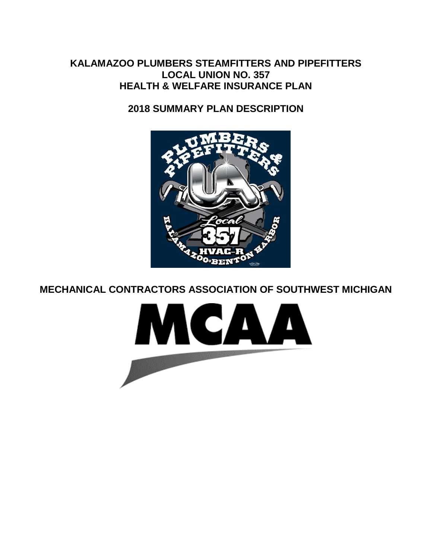# **KALAMAZOO PLUMBERS STEAMFITTERS AND PIPEFITTERS LOCAL UNION NO. 357 HEALTH & WELFARE INSURANCE PLAN**

**2018 SUMMARY PLAN DESCRIPTION**



**MECHANICAL CONTRACTORS ASSOCIATION OF SOUTHWEST MICHIGAN**

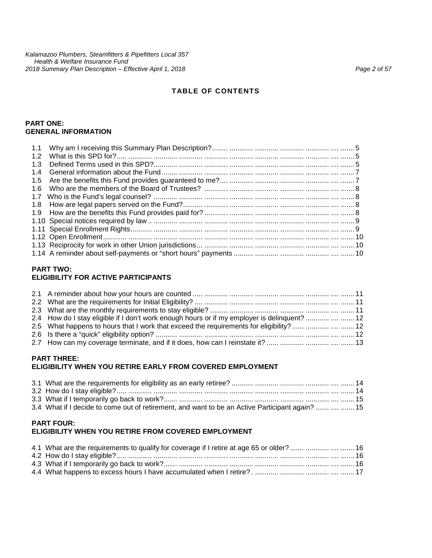#### **PART ONE: GENERAL INFORMATION**

#### **PART TWO:**

#### **ELIGIBILITY FOR ACTIVE PARTICIPANTS**

| 2.4 How do I stay eligible if I don't work enough hours or if my employer is delinguent?    12<br>2.5 What happens to hours that I work that exceed the requirements for eligibility?     12 |  |
|----------------------------------------------------------------------------------------------------------------------------------------------------------------------------------------------|--|
| 2.7 How can my coverage terminate, and if it does, how can I reinstate it?     13                                                                                                            |  |
|                                                                                                                                                                                              |  |

#### **PART THREE: ELIGIBILITY WHEN YOU RETIRE EARLY FROM COVERED EMPLOYMENT**

| 3.4 What if I decide to come out of retirement, and want to be an Active Participant again?    15 |  |
|---------------------------------------------------------------------------------------------------|--|

#### **PART FOUR: ELIGIBILITY WHEN YOU RETIRE FROM COVERED EMPLOYMENT**

| 4.1 What are the requirements to qualify for coverage if I retire at age 65 or older?     16 |  |
|----------------------------------------------------------------------------------------------|--|
|                                                                                              |  |
|                                                                                              |  |
|                                                                                              |  |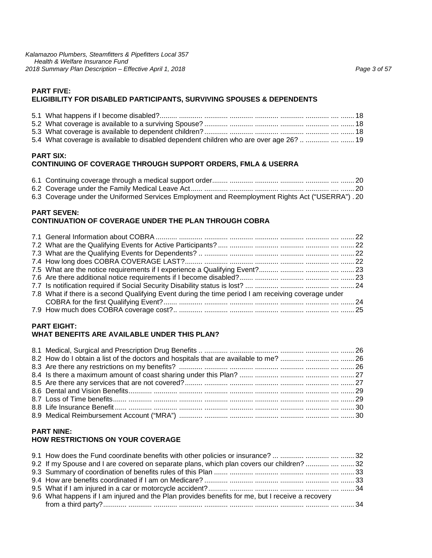*Kalamazoo Plumbers, Steamfitters & Pipefitters Local 357 Health & Welfare Insurance Fund 2018 Summary Plan Description – Effective April 1, 2018 Page 3 of 57*

# **PART FIVE: ELIGIBILITY FOR DISABLED PARTICIPANTS, SURVIVING SPOUSES & DEPENDENTS**

| 5.4 What coverage is available to disabled dependent children who are over age 26?    19 |  |
|------------------------------------------------------------------------------------------|--|

# **PART SIX: CONTINUING OF COVERAGE THROUGH SUPPORT ORDERS, FMLA & USERRA**

| 6.3 Coverage under the Uniformed Services Employment and Reemployment Rights Act ("USERRA") . 20 |  |
|--------------------------------------------------------------------------------------------------|--|

#### **PART SEVEN: CONTINUATION OF COVERAGE UNDER THE PLAN THROUGH COBRA**

| 7.8 What if there is a second Qualifying Event during the time period I am receiving coverage under |  |
|-----------------------------------------------------------------------------------------------------|--|
|                                                                                                     |  |
|                                                                                                     |  |

#### **PART EIGHT: WHAT BENEFITS ARE AVAILABLE UNDER THIS PLAN?**

| 8.2 How do I obtain a list of the doctors and hospitals that are available to me?   26 |  |
|----------------------------------------------------------------------------------------|--|
|                                                                                        |  |
|                                                                                        |  |
|                                                                                        |  |
|                                                                                        |  |
|                                                                                        |  |
|                                                                                        |  |
|                                                                                        |  |

# **PART NINE:**

# **HOW RESTRICTIONS ON YOUR COVERAGE**

| 9.2 If my Spouse and I are covered on separate plans, which plan covers our children?    32      |  |
|--------------------------------------------------------------------------------------------------|--|
|                                                                                                  |  |
|                                                                                                  |  |
|                                                                                                  |  |
| 9.6 What happens if I am injured and the Plan provides benefits for me, but I receive a recovery |  |
|                                                                                                  |  |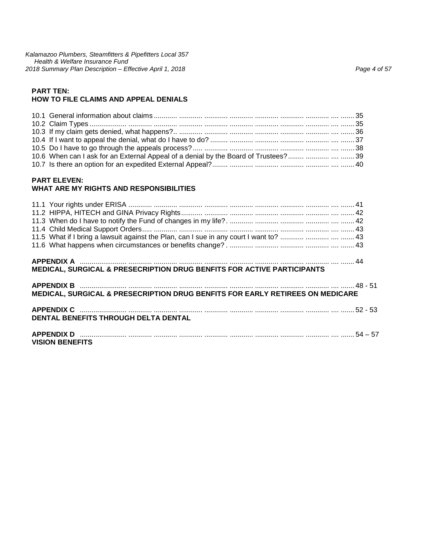*Kalamazoo Plumbers, Steamfitters & Pipefitters Local 357 Health & Welfare Insurance Fund 2018 Summary Plan Description – Effective April 1, 2018 Page 4 of 57*

#### **PART TEN: HOW TO FILE CLAIMS AND APPEAL DENIALS**

| 10.6 When can I ask for an External Appeal of a denial by the Board of Trustees?  39 |  |
|--------------------------------------------------------------------------------------|--|
|                                                                                      |  |

#### **PART ELEVEN: WHAT ARE MY RIGHTS AND RESPONSIBILITIES**

| MEDICAL, SURGICAL & PRESECRIPTION DRUG BENFITS FOR ACTIVE PARTICIPANTS        |  |
|-------------------------------------------------------------------------------|--|
| MEDICAL, SURGICAL & PRESECRIPTION DRUG BENFITS FOR EARLY RETIREES ON MEDICARE |  |
| <b>DENTAL BENEFITS THROUGH DELTA DENTAL</b>                                   |  |
| <b>VISION BENEFITS</b>                                                        |  |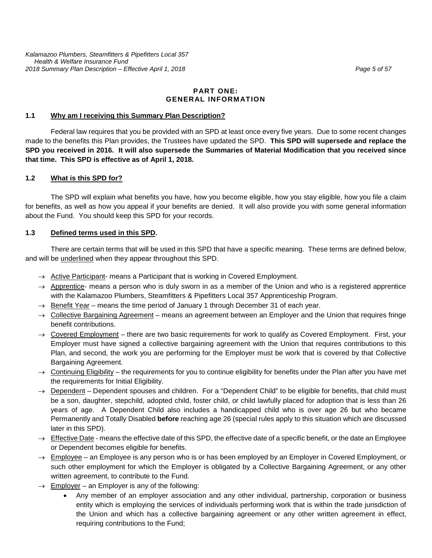### **PART ONE: GENERAL INFORMATION**

#### **1.1 Why am I receiving this Summary Plan Description?**

Federal law requires that you be provided with an SPD at least once every five years. Due to some recent changes made to the benefits this Plan provides, the Trustees have updated the SPD. **This SPD will supersede and replace the SPD you received in 2016. It will also supersede the Summaries of Material Modification that you received since that time. This SPD is effective as of April 1, 2018.** 

#### **1.2 What is this SPD for?**

The SPD will explain what benefits you have, how you become eligible, how you stay eligible, how you file a claim for benefits, as well as how you appeal if your benefits are denied. It will also provide you with some general information about the Fund. You should keep this SPD for your records.

#### **1.3 Defined terms used in this SPD.**

There are certain terms that will be used in this SPD that have a specific meaning. These terms are defined below, and will be underlined when they appear throughout this SPD.

- $\rightarrow$  Active Participant- means a Participant that is working in Covered Employment.
- $\rightarrow$  Apprentice- means a person who is duly sworn in as a member of the Union and who is a registered apprentice with the Kalamazoo Plumbers, Steamfitters & Pipefitters Local 357 Apprenticeship Program.
- $\rightarrow$  Benefit Year means the time period of January 1 through December 31 of each year.
- $\rightarrow$  Collective Bargaining Agreement means an agreement between an Employer and the Union that requires fringe benefit contributions.
- $\rightarrow$  Covered Employment there are two basic requirements for work to qualify as Covered Employment. First, your Employer must have signed a collective bargaining agreement with the Union that requires contributions to this Plan, and second, the work you are performing for the Employer must be work that is covered by that Collective Bargaining Agreement.
- $\rightarrow$  Continuing Eligibility the requirements for you to continue eligibility for benefits under the Plan after you have met the requirements for Initial Eligibility.
- $\rightarrow$  Dependent Dependent spouses and children. For a "Dependent Child" to be eligible for benefits, that child must be a son, daughter, stepchild, adopted child, foster child, or child lawfully placed for adoption that is less than 26 years of age. A Dependent Child also includes a handicapped child who is over age 26 but who became Permanently and Totally Disabled **before** reaching age 26 (special rules apply to this situation which are discussed later in this SPD).
- $\rightarrow$  Effective Date means the effective date of this SPD, the effective date of a specific benefit, or the date an Employee or Dependent becomes eligible for benefits.
- $\rightarrow$  Employee an Employee is any person who is or has been employed by an Employer in Covered Employment, or such other employment for which the Employer is obligated by a Collective Bargaining Agreement, or any other written agreement, to contribute to the Fund.
- $\rightarrow$  Employer an Employer is any of the following:
	- Any member of an employer association and any other individual, partnership, corporation or business entity which is employing the services of individuals performing work that is within the trade jurisdiction of the Union and which has a collective bargaining agreement or any other written agreement in effect, requiring contributions to the Fund;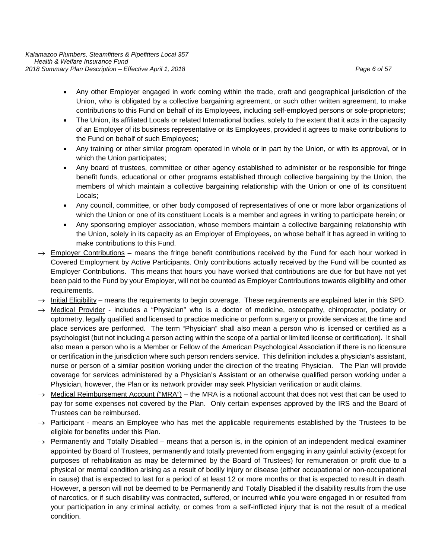- Any other Employer engaged in work coming within the trade, craft and geographical jurisdiction of the Union, who is obligated by a collective bargaining agreement, or such other written agreement, to make contributions to this Fund on behalf of its Employees, including self-employed persons or sole-proprietors;
- The Union, its affiliated Locals or related International bodies, solely to the extent that it acts in the capacity of an Employer of its business representative or its Employees, provided it agrees to make contributions to the Fund on behalf of such Employees;
- Any training or other similar program operated in whole or in part by the Union, or with its approval, or in which the Union participates;
- Any board of trustees, committee or other agency established to administer or be responsible for fringe benefit funds, educational or other programs established through collective bargaining by the Union, the members of which maintain a collective bargaining relationship with the Union or one of its constituent Locals;
- Any council, committee, or other body composed of representatives of one or more labor organizations of which the Union or one of its constituent Locals is a member and agrees in writing to participate herein; or
- Any sponsoring employer association, whose members maintain a collective bargaining relationship with the Union, solely in its capacity as an Employer of Employees, on whose behalf it has agreed in writing to make contributions to this Fund.
- $\rightarrow$  Employer Contributions means the fringe benefit contributions received by the Fund for each hour worked in Covered Employment by Active Participants. Only contributions actually received by the Fund will be counted as Employer Contributions. This means that hours you have worked that contributions are due for but have not yet been paid to the Fund by your Employer, will not be counted as Employer Contributions towards eligibility and other requirements.
- $\rightarrow$  Initial Eligibility means the requirements to begin coverage. These requirements are explained later in this SPD.
- → Medical Provider includes a "Physician" who is a doctor of medicine, osteopathy, chiropractor, podiatry or optometry, legally qualified and licensed to practice medicine or perform surgery or provide services at the time and place services are performed. The term "Physician" shall also mean a person who is licensed or certified as a psychologist (but not including a person acting within the scope of a partial or limited license or certification). It shall also mean a person who is a Member or Fellow of the American Psychological Association if there is no licensure or certification in the jurisdiction where such person renders service. This definition includes a physician's assistant, nurse or person of a similar position working under the direction of the treating Physician. The Plan will provide coverage for services administered by a Physician's Assistant or an otherwise qualified person working under a Physician, however, the Plan or its network provider may seek Physician verification or audit claims.
- $\rightarrow$  Medical Reimbursement Account ("MRA") the MRA is a notional account that does not vest that can be used to pay for some expenses not covered by the Plan. Only certain expenses approved by the IRS and the Board of Trustees can be reimbursed.
- $\rightarrow$  Participant means an Employee who has met the applicable requirements established by the Trustees to be eligible for benefits under this Plan.
- $\rightarrow$  Permanently and Totally Disabled means that a person is, in the opinion of an independent medical examiner appointed by Board of Trustees, permanently and totally prevented from engaging in any gainful activity (except for purposes of rehabilitation as may be determined by the Board of Trustees) for remuneration or profit due to a physical or mental condition arising as a result of bodily injury or disease (either occupational or non-occupational in cause) that is expected to last for a period of at least 12 or more months or that is expected to result in death. However, a person will not be deemed to be Permanently and Totally Disabled if the disability results from the use of narcotics, or if such disability was contracted, suffered, or incurred while you were engaged in or resulted from your participation in any criminal activity, or comes from a self-inflicted injury that is not the result of a medical condition.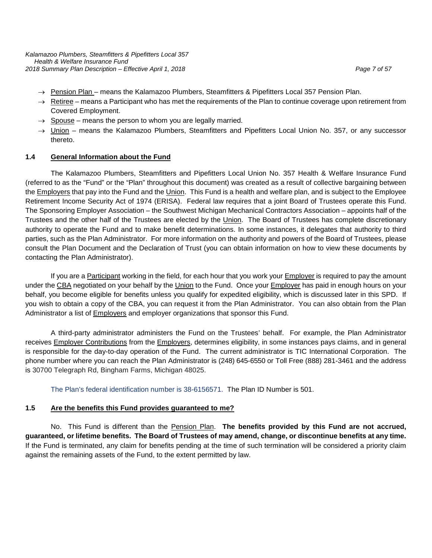*Kalamazoo Plumbers, Steamfitters & Pipefitters Local 357 Health & Welfare Insurance Fund 2018 Summary Plan Description – Effective April 1, 2018 Page 7 of 57*

- 
- → Pension Plan means the Kalamazoo Plumbers, Steamfitters & Pipefitters Local 357 Pension Plan.
- $\rightarrow$  Retiree means a Participant who has met the requirements of the Plan to continue coverage upon retirement from Covered Employment.
- $\rightarrow$  Spouse means the person to whom you are legally married.
- $\rightarrow$  Union means the Kalamazoo Plumbers, Steamfitters and Pipefitters Local Union No. 357, or any successor thereto.

#### **1.4 General Information about the Fund**

The Kalamazoo Plumbers, Steamfitters and Pipefitters Local Union No. 357 Health & Welfare Insurance Fund (referred to as the "Fund" or the "Plan" throughout this document) was created as a result of collective bargaining between the Employers that pay into the Fund and the Union. This Fund is a health and welfare plan, and is subject to the Employee Retirement Income Security Act of 1974 (ERISA). Federal law requires that a joint Board of Trustees operate this Fund. The Sponsoring Employer Association – the Southwest Michigan Mechanical Contractors Association – appoints half of the Trustees and the other half of the Trustees are elected by the Union. The Board of Trustees has complete discretionary authority to operate the Fund and to make benefit determinations. In some instances, it delegates that authority to third parties, such as the Plan Administrator. For more information on the authority and powers of the Board of Trustees, please consult the Plan Document and the Declaration of Trust (you can obtain information on how to view these documents by contacting the Plan Administrator).

If you are a Participant working in the field, for each hour that you work your Employer is required to pay the amount under the CBA negotiated on your behalf by the Union to the Fund. Once your Employer has paid in enough hours on your behalf, you become eligible for benefits unless you qualify for expedited eligibility, which is discussed later in this SPD. If you wish to obtain a copy of the CBA, you can request it from the Plan Administrator. You can also obtain from the Plan Administrator a list of **Employers** and employer organizations that sponsor this Fund.

A third-party administrator administers the Fund on the Trustees' behalf. For example, the Plan Administrator receives Employer Contributions from the Employers, determines eligibility, in some instances pays claims, and in general is responsible for the day-to-day operation of the Fund. The current administrator is TIC International Corporation. The phone number where you can reach the Plan Administrator is (248) 645-6550 or Toll Free (888) 281-3461 and the address is 30700 Telegraph Rd, Bingham Farms, Michigan 48025.

The Plan's federal identification number is 38-6156571. The Plan ID Number is 501.

#### **1.5 Are the benefits this Fund provides guaranteed to me?**

No. This Fund is different than the Pension Plan. **The benefits provided by this Fund are not accrued, guaranteed, or lifetime benefits. The Board of Trustees of may amend, change, or discontinue benefits at any time.** If the Fund is terminated, any claim for benefits pending at the time of such termination will be considered a priority claim against the remaining assets of the Fund, to the extent permitted by law.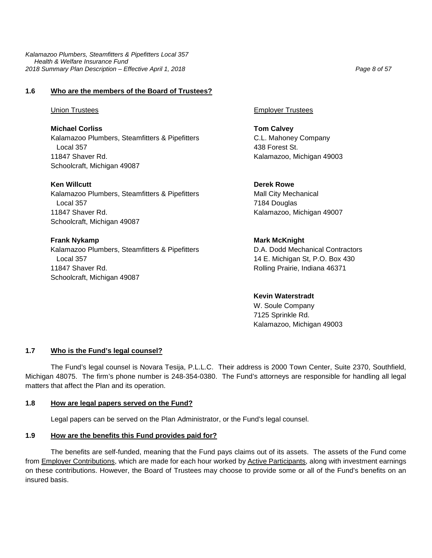*Kalamazoo Plumbers, Steamfitters & Pipefitters Local 357 Health & Welfare Insurance Fund 2018 Summary Plan Description – Effective April 1, 2018 Page 8 of 57*

# **1.6 Who are the members of the Board of Trustees?**

**Michael Corliss Tom Calvey** Kalamazoo Plumbers, Steamfitters & Pipefitters C.L. Mahoney Company Local 357 438 Forest St. 11847 Shaver Rd. Kalamazoo, Michigan 49003 Schoolcraft, Michigan 49087

**Ken Willcutt Derek Rowe** Kalamazoo Plumbers, Steamfitters & Pipefitters Mall City Mechanical Local 357 **7184 Douglas** 11847 Shaver Rd. Kalamazoo, Michigan 49007 Schoolcraft, Michigan 49087

**Frank Nykamp Mark McKnight Mark McKnight** Kalamazoo Plumbers, Steamfitters & Pipefitters D.A. Dodd Mechanical Contractors Local 357 **14 E. Michigan St, P.O. Box 430** 11847 Shaver Rd. Rolling Prairie, Indiana 46371 Schoolcraft, Michigan 49087

Union Trustees Employer Trustees

**Kevin Waterstradt** W. Soule Company 7125 Sprinkle Rd. Kalamazoo, Michigan 49003

#### **1.7 Who is the Fund's legal counsel?**

The Fund's legal counsel is Novara Tesija, P.L.L.C. Their address is 2000 Town Center, Suite 2370, Southfield, Michigan 48075. The firm's phone number is 248-354-0380. The Fund's attorneys are responsible for handling all legal matters that affect the Plan and its operation.

#### **1.8 How are legal papers served on the Fund?**

Legal papers can be served on the Plan Administrator, or the Fund's legal counsel.

#### **1.9 How are the benefits this Fund provides paid for?**

The benefits are self-funded, meaning that the Fund pays claims out of its assets. The assets of the Fund come from Employer Contributions, which are made for each hour worked by Active Participants, along with investment earnings on these contributions. However, the Board of Trustees may choose to provide some or all of the Fund's benefits on an insured basis.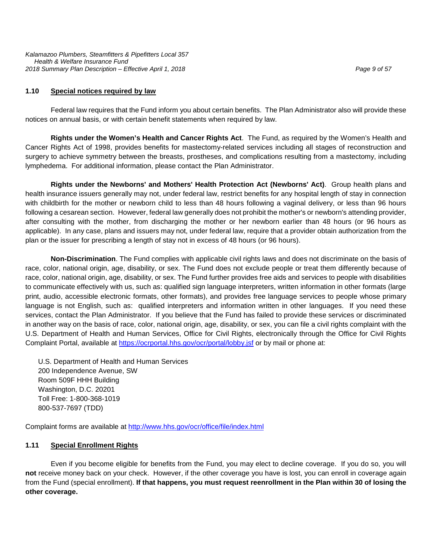*Kalamazoo Plumbers, Steamfitters & Pipefitters Local 357 Health & Welfare Insurance Fund 2018 Summary Plan Description – Effective April 1, 2018 Page 9 of 57*

#### **1.10 Special notices required by law**

Federal law requires that the Fund inform you about certain benefits. The Plan Administrator also will provide these notices on annual basis, or with certain benefit statements when required by law.

**Rights under the Women's Health and Cancer Rights Act**. The Fund, as required by the Women's Health and Cancer Rights Act of 1998, provides benefits for mastectomy-related services including all stages of reconstruction and surgery to achieve symmetry between the breasts, prostheses, and complications resulting from a mastectomy, including lymphedema. For additional information, please contact the Plan Administrator.

**Rights under the Newborns' and Mothers' Health Protection Act (Newborns' Act)**. Group health plans and health insurance issuers generally may not, under federal law, restrict benefits for any hospital length of stay in connection with childbirth for the mother or newborn child to less than 48 hours following a vaginal delivery, or less than 96 hours following a cesarean section. However, federal law generally does not prohibit the mother's or newborn's attending provider, after consulting with the mother, from discharging the mother or her newborn earlier than 48 hours (or 96 hours as applicable). In any case, plans and issuers may not, under federal law, require that a provider obtain authorization from the plan or the issuer for prescribing a length of stay not in excess of 48 hours (or 96 hours).

**Non-Discrimination**. The Fund complies with applicable civil rights laws and does not discriminate on the basis of race, color, national origin, age, disability, or sex. The Fund does not exclude people or treat them differently because of race, color, national origin, age, disability, or sex. The Fund further provides free aids and services to people with disabilities to communicate effectively with us, such as: qualified sign language interpreters, written information in other formats (large print, audio, accessible electronic formats, other formats), and provides free language services to people whose primary language is not English, such as: qualified interpreters and information written in other languages. If you need these services, contact the Plan Administrator. If you believe that the Fund has failed to provide these services or discriminated in another way on the basis of race, color, national origin, age, disability, or sex, you can file a civil rights complaint with the U.S. Department of Health and Human Services, Office for Civil Rights, electronically through the Office for Civil Rights Complaint Portal, available at<https://ocrportal.hhs.gov/ocr/portal/lobby.jsf> or by mail or phone at:

U.S. Department of Health and Human Services 200 Independence Avenue, SW Room 509F HHH Building Washington, D.C. 20201 Toll Free: 1-800-368-1019 800-537-7697 (TDD)

Complaint forms are available at<http://www.hhs.gov/ocr/office/file/index.html>

#### **1.11 Special Enrollment Rights**

Even if you become eligible for benefits from the Fund, you may elect to decline coverage. If you do so, you will **not** receive money back on your check. However, if the other coverage you have is lost, you can enroll in coverage again from the Fund (special enrollment). **If that happens, you must request reenrollment in the Plan within 30 of losing the other coverage.**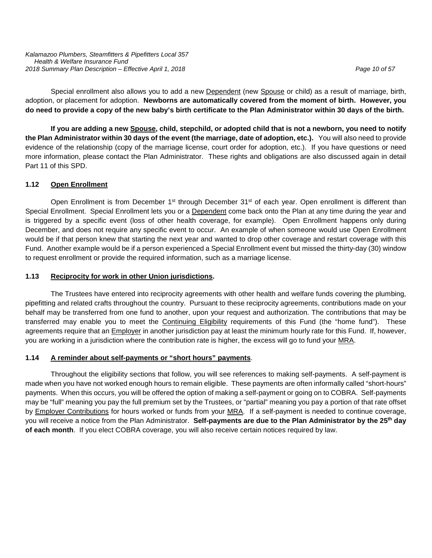Special enrollment also allows you to add a new Dependent (new Spouse or child) as a result of marriage, birth, adoption, or placement for adoption. **Newborns are automatically covered from the moment of birth. However, you do need to provide a copy of the new baby's birth certificate to the Plan Administrator within 30 days of the birth.**

**If you are adding a new Spouse, child, stepchild, or adopted child that is not a newborn, you need to notify the Plan Administrator within 30 days of the event (the marriage, date of adoption, etc.).** You will also need to provide evidence of the relationship (copy of the marriage license, court order for adoption, etc.). If you have questions or need more information, please contact the Plan Administrator. These rights and obligations are also discussed again in detail Part 11 of this SPD.

#### **1.12 Open Enrollment**

Open Enrollment is from December 1<sup>st</sup> through December 31<sup>st</sup> of each year. Open enrollment is different than Special Enrollment. Special Enrollment lets you or a Dependent come back onto the Plan at any time during the year and is triggered by a specific event (loss of other health coverage, for example). Open Enrollment happens only during December, and does not require any specific event to occur. An example of when someone would use Open Enrollment would be if that person knew that starting the next year and wanted to drop other coverage and restart coverage with this Fund. Another example would be if a person experienced a Special Enrollment event but missed the thirty-day (30) window to request enrollment or provide the required information, such as a marriage license.

#### **1.13 Reciprocity for work in other Union jurisdictions.**

The Trustees have entered into reciprocity agreements with other health and welfare funds covering the plumbing, pipefitting and related crafts throughout the country. Pursuant to these reciprocity agreements, contributions made on your behalf may be transferred from one fund to another, upon your request and authorization. The contributions that may be transferred may enable you to meet the Continuing Eligibility requirements of this Fund (the "home fund"). These agreements require that an Employer in another jurisdiction pay at least the minimum hourly rate for this Fund. If, however, you are working in a jurisdiction where the contribution rate is higher, the excess will go to fund your MRA.

#### **1.14 A reminder about self-payments or "short hours" payments**.

Throughout the eligibility sections that follow, you will see references to making self-payments. A self-payment is made when you have not worked enough hours to remain eligible. These payments are often informally called "short-hours" payments. When this occurs, you will be offered the option of making a self-payment or going on to COBRA. Self-payments may be "full" meaning you pay the full premium set by the Trustees, or "partial" meaning you pay a portion of that rate offset by Employer Contributions for hours worked or funds from your MRA. If a self-payment is needed to continue coverage, you will receive a notice from the Plan Administrator. **Self-payments are due to the Plan Administrator by the 25th day of each month**. If you elect COBRA coverage, you will also receive certain notices required by law.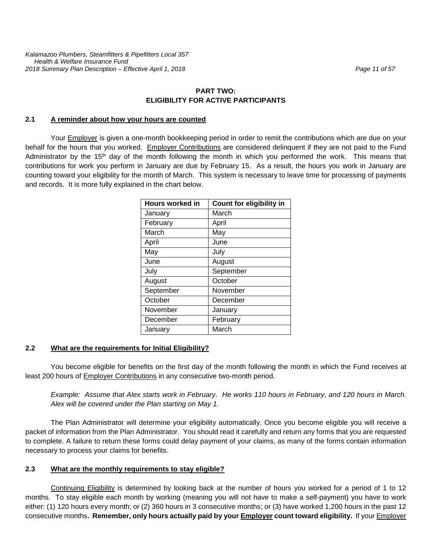# **PART TWO: ELIGIBILITY FOR ACTIVE PARTICIPANTS**

#### **2.1 A reminder about how your hours are counted**

Your **Employer** is given a one-month bookkeeping period in order to remit the contributions which are due on your behalf for the hours that you worked. Employer Contributions are considered delinquent if they are not paid to the Fund Administrator by the 15<sup>th</sup> day of the month following the month in which you performed the work. This means that contributions for work you perform in January are due by February 15. As a result, the hours you work in January are counting toward your eligibility for the month of March. This system is necessary to leave time for processing of payments and records. It is more fully explained in the chart below.

| <b>Hours worked in</b> | <b>Count for eligibility in</b> |
|------------------------|---------------------------------|
| January                | March                           |
| February               | April                           |
| March                  | May                             |
| April                  | June                            |
| May                    | July                            |
| June                   | August                          |
| July                   | September                       |
| August                 | October                         |
| September              | November                        |
| October                | December                        |
| November               | January                         |
| December               | February                        |
| January                | March                           |

#### **2.2 What are the requirements for Initial Eligibility?**

You become eligible for benefits on the first day of the month following the month in which the Fund receives at least 200 hours of Employer Contributions in any consecutive two-month period.

*Example: Assume that Alex starts work in February. He works 110 hours in February, and 120 hours in March. Alex will be covered under the Plan starting on May 1.* 

The Plan Administrator will determine your eligibility automatically. Once you become eligible you will receive a packet of information from the Plan Administrator. You should read it carefully and return any forms that you are requested to complete. A failure to return these forms could delay payment of your claims, as many of the forms contain information necessary to process your claims for benefits.

#### **2.3 What are the monthly requirements to stay eligible?**

Continuing Eligibility is determined by looking back at the number of hours you worked for a period of 1 to 12 months. To stay eligible each month by working (meaning you will not have to make a self-payment) you have to work either: (1) 120 hours every month; or (2) 360 hours in 3 consecutive months; or (3) have worked 1,200 hours in the past 12 consecutive months**. Remember, only hours actually paid by your Employer count toward eligibility.** If your Employer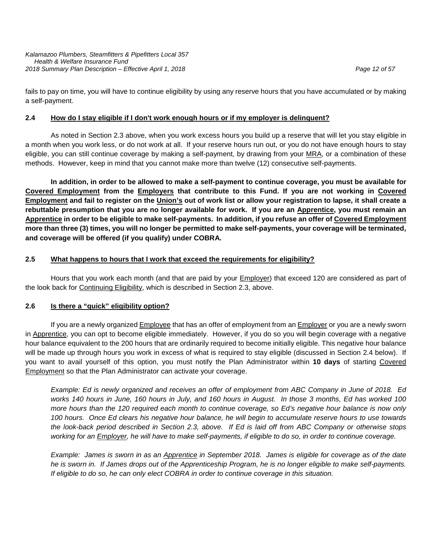fails to pay on time, you will have to continue eligibility by using any reserve hours that you have accumulated or by making a self-payment.

#### **2.4 How do I stay eligible if I don't work enough hours or if my employer is delinquent?**

As noted in Section 2.3 above, when you work excess hours you build up a reserve that will let you stay eligible in a month when you work less, or do not work at all. If your reserve hours run out, or you do not have enough hours to stay eligible, you can still continue coverage by making a self-payment, by drawing from your MRA, or a combination of these methods. However, keep in mind that you cannot make more than twelve (12) consecutive self-payments.

**In addition, in order to be allowed to make a self-payment to continue coverage, you must be available for Covered Employment from the Employers that contribute to this Fund. If you are not working in Covered Employment and fail to register on the Union's out of work list or allow your registration to lapse, it shall create a rebuttable presumption that you are no longer available for work. If you are an Apprentice, you must remain an Apprentice in order to be eligible to make self-payments. In addition, if you refuse an offer of Covered Employment more than three (3) times, you will no longer be permitted to make self-payments, your coverage will be terminated, and coverage will be offered (if you qualify) under COBRA.**

#### **2.5 What happens to hours that I work that exceed the requirements for eligibility?**

Hours that you work each month (and that are paid by your **Employer**) that exceed 120 are considered as part of the look back for Continuing Eligibility, which is described in Section 2.3, above.

#### **2.6 Is there a "quick" eligibility option?**

If you are a newly organized **Employee** that has an offer of employment from an **Employer** or you are a newly sworn in Apprentice, you can opt to become eligible immediately. However, if you do so you will begin coverage with a negative hour balance equivalent to the 200 hours that are ordinarily required to become initially eligible. This negative hour balance will be made up through hours you work in excess of what is required to stay eligible (discussed in Section 2.4 below). If you want to avail yourself of this option, you must notify the Plan Administrator within **10 days** of starting Covered Employment so that the Plan Administrator can activate your coverage.

*Example: Ed is newly organized and receives an offer of employment from ABC Company in June of 2018. Ed works 140 hours in June, 160 hours in July, and 160 hours in August. In those 3 months, Ed has worked 100 more hours than the 120 required each month to continue coverage, so Ed's negative hour balance is now only 100 hours. Once Ed clears his negative hour balance, he will begin to accumulate reserve hours to use towards the look-back period described in Section 2.3, above. If Ed is laid off from ABC Company or otherwise stops*  working for an Employer, he will have to make self-payments, if eligible to do so, in order to continue coverage.

*Example: James is sworn in as an Apprentice in September 2018. James is eligible for coverage as of the date he is sworn in. If James drops out of the Apprenticeship Program, he is no longer eligible to make self-payments. If eligible to do so, he can only elect COBRA in order to continue coverage in this situation.*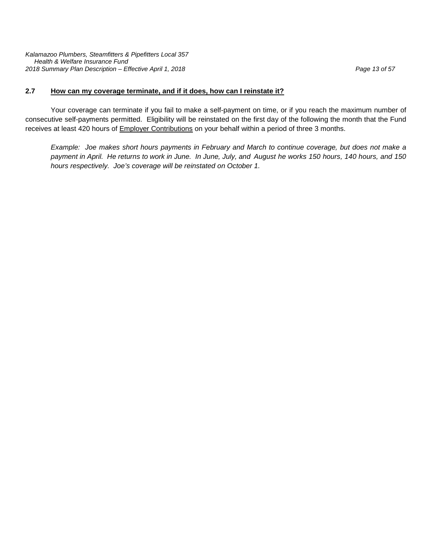*Kalamazoo Plumbers, Steamfitters & Pipefitters Local 357 Health & Welfare Insurance Fund 2018 Summary Plan Description – Effective April 1, 2018 Page 13 of 57*

#### **2.7 How can my coverage terminate, and if it does, how can I reinstate it?**

Your coverage can terminate if you fail to make a self-payment on time, or if you reach the maximum number of consecutive self-payments permitted. Eligibility will be reinstated on the first day of the following the month that the Fund receives at least 420 hours of Employer Contributions on your behalf within a period of three 3 months.

*Example: Joe makes short hours payments in February and March to continue coverage, but does not make a payment in April. He returns to work in June. In June, July, and August he works 150 hours, 140 hours, and 150 hours respectively. Joe's coverage will be reinstated on October 1.*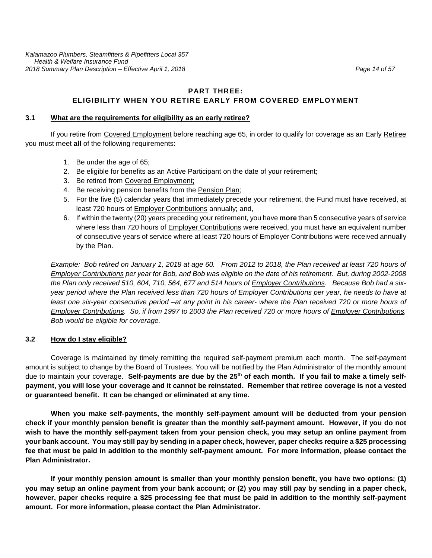# **PART THREE: ELIGIBILITY WHEN YOU RETIRE EARLY FROM COVERED EMPLOYMENT**

#### **3.1 What are the requirements for eligibility as an early retiree?**

If you retire from Covered Employment before reaching age 65, in order to qualify for coverage as an Early Retiree you must meet **all** of the following requirements:

- 1. Be under the age of 65;
- 2. Be eligible for benefits as an **Active Participant** on the date of your retirement;
- 3. Be retired from Covered Employment;
- 4. Be receiving pension benefits from the Pension Plan;
- 5. For the five (5) calendar years that immediately precede your retirement, the Fund must have received, at least 720 hours of Employer Contributions annually; and,
- 6. If within the twenty (20) years preceding your retirement, you have **more** than 5 consecutive years of service where less than 720 hours of **Employer Contributions** were received, you must have an equivalent number of consecutive years of service where at least 720 hours of Employer Contributions were received annually by the Plan.

*Example: Bob retired on January 1, 2018 at age 60. From 2012 to 2018, the Plan received at least 720 hours of Employer Contributions per year for Bob, and Bob was eligible on the date of his retirement. But, during 2002-2008 the Plan only received 510, 604, 710, 564, 677 and 514 hours of Employer Contributions. Because Bob had a sixyear period where the Plan received less than 720 hours of Employer Contributions per year, he needs to have at least one six-year consecutive period –at any point in his career- where the Plan received 720 or more hours of Employer Contributions. So, if from 1997 to 2003 the Plan received 720 or more hours of Employer Contributions, Bob would be eligible for coverage.*

#### **3.2 How do I stay eligible?**

Coverage is maintained by timely remitting the required self-payment premium each month. The self-payment amount is subject to change by the Board of Trustees. You will be notified by the Plan Administrator of the monthly amount due to maintain your coverage. **Self-payments are due by the 25th of each month. If you fail to make a timely selfpayment, you will lose your coverage and it cannot be reinstated. Remember that retiree coverage is not a vested or guaranteed benefit. It can be changed or eliminated at any time.** 

**When you make self-payments, the monthly self-payment amount will be deducted from your pension check if your monthly pension benefit is greater than the monthly self-payment amount. However, if you do not wish to have the monthly self-payment taken from your pension check, you may setup an online payment from your bank account. You may still pay by sending in a paper check, however, paper checks require a \$25 processing fee that must be paid in addition to the monthly self-payment amount. For more information, please contact the Plan Administrator.**

**If your monthly pension amount is smaller than your monthly pension benefit, you have two options: (1) you may setup an online payment from your bank account; or (2) you may still pay by sending in a paper check, however, paper checks require a \$25 processing fee that must be paid in addition to the monthly self-payment amount. For more information, please contact the Plan Administrator.**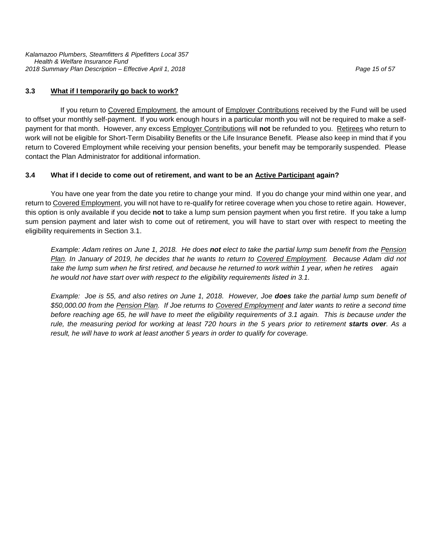*Kalamazoo Plumbers, Steamfitters & Pipefitters Local 357 Health & Welfare Insurance Fund 2018 Summary Plan Description – Effective April 1, 2018 Page 15 of 57*

#### **3.3 What if I temporarily go back to work?**

If you return to Covered Employment, the amount of Employer Contributions received by the Fund will be used to offset your monthly self-payment. If you work enough hours in a particular month you will not be required to make a selfpayment for that month. However, any excess Employer Contributions will **not** be refunded to you. Retirees who return to work will not be eligible for Short-Term Disability Benefits or the Life Insurance Benefit. Please also keep in mind that if you return to Covered Employment while receiving your pension benefits, your benefit may be temporarily suspended. Please contact the Plan Administrator for additional information.

#### **3.4 What if I decide to come out of retirement, and want to be an Active Participant again?**

You have one year from the date you retire to change your mind. If you do change your mind within one year, and return to Covered Employment, you will not have to re-qualify for retiree coverage when you chose to retire again. However, this option is only available if you decide **not** to take a lump sum pension payment when you first retire. If you take a lump sum pension payment and later wish to come out of retirement, you will have to start over with respect to meeting the eligibility requirements in Section 3.1.

*Example: Adam retires on June 1, 2018. He does not elect to take the partial lump sum benefit from the Pension Plan. In January of 2019, he decides that he wants to return to Covered Employment. Because Adam did not take the lump sum when he first retired, and because he returned to work within 1 year, when he retires again he would not have start over with respect to the eligibility requirements listed in 3.1.*

*Example: Joe is 55, and also retires on June 1, 2018. However, Joe does take the partial lump sum benefit of \$50,000.00 from the Pension Plan. If Joe returns to Covered Employment and later wants to retire a second time before reaching age 65, he will have to meet the eligibility requirements of 3.1 again. This is because under the rule, the measuring period for working at least 720 hours in the 5 years prior to retirement <i>starts over*. As a *result, he will have to work at least another 5 years in order to qualify for coverage.*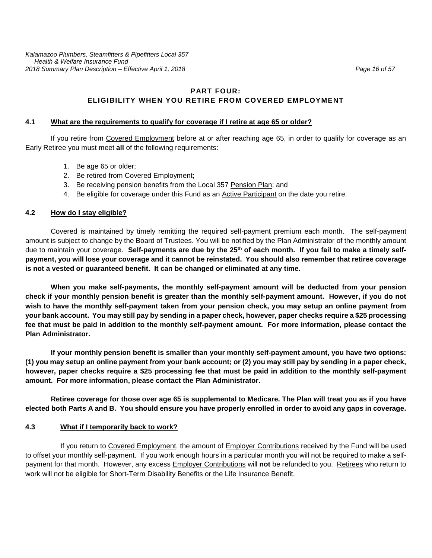# **PART FOUR: ELIGIBILITY WHEN YOU RETIRE FROM COVERED EMPLOYMENT**

#### **4.1 What are the requirements to qualify for coverage if I retire at age 65 or older?**

If you retire from Covered Employment before at or after reaching age 65, in order to qualify for coverage as an Early Retiree you must meet **all** of the following requirements:

- 1. Be age 65 or older;
- 2. Be retired from Covered Employment;
- 3. Be receiving pension benefits from the Local 357 Pension Plan; and
- 4. Be eligible for coverage under this Fund as an Active Participant on the date you retire.

#### **4.2 How do I stay eligible?**

Covered is maintained by timely remitting the required self-payment premium each month. The self-payment amount is subject to change by the Board of Trustees. You will be notified by the Plan Administrator of the monthly amount due to maintain your coverage. **Self-payments are due by the 25th of each month. If you fail to make a timely selfpayment, you will lose your coverage and it cannot be reinstated. You should also remember that retiree coverage is not a vested or guaranteed benefit. It can be changed or eliminated at any time.** 

**When you make self-payments, the monthly self-payment amount will be deducted from your pension check if your monthly pension benefit is greater than the monthly self-payment amount. However, if you do not wish to have the monthly self-payment taken from your pension check, you may setup an online payment from your bank account. You may still pay by sending in a paper check, however, paper checks require a \$25 processing fee that must be paid in addition to the monthly self-payment amount. For more information, please contact the Plan Administrator.**

**If your monthly pension benefit is smaller than your monthly self-payment amount, you have two options: (1) you may setup an online payment from your bank account; or (2) you may still pay by sending in a paper check, however, paper checks require a \$25 processing fee that must be paid in addition to the monthly self-payment amount. For more information, please contact the Plan Administrator.**

**Retiree coverage for those over age 65 is supplemental to Medicare. The Plan will treat you as if you have elected both Parts A and B. You should ensure you have properly enrolled in order to avoid any gaps in coverage.**

#### **4.3 What if I temporarily back to work?**

If you return to Covered Employment, the amount of Employer Contributions received by the Fund will be used to offset your monthly self-payment. If you work enough hours in a particular month you will not be required to make a selfpayment for that month. However, any excess Employer Contributions will **not** be refunded to you.Retirees who return to work will not be eligible for Short-Term Disability Benefits or the Life Insurance Benefit.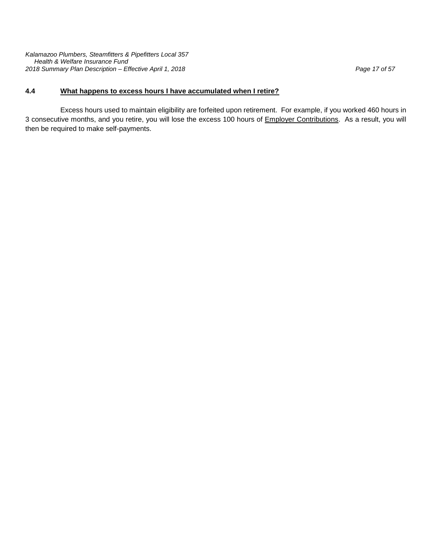*Kalamazoo Plumbers, Steamfitters & Pipefitters Local 357 Health & Welfare Insurance Fund 2018 Summary Plan Description – Effective April 1, 2018 Page 17 of 57*

# **4.4 What happens to excess hours I have accumulated when I retire?**

Excess hours used to maintain eligibility are forfeited upon retirement. For example, if you worked 460 hours in 3 consecutive months, and you retire, you will lose the excess 100 hours of Employer Contributions. As a result, you will then be required to make self-payments.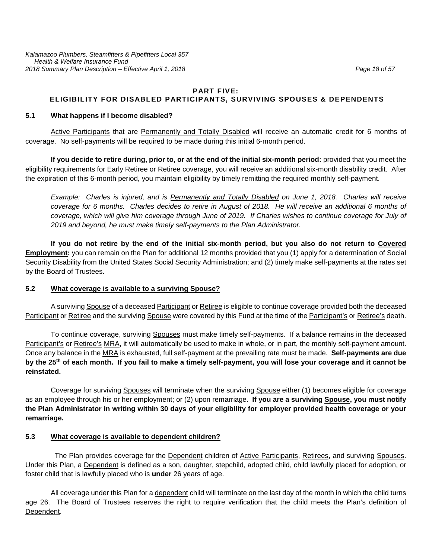#### **PART FIVE: ELIGIBILITY FOR DISABLED PARTICIPANTS, SURVIVING SPOUSES & DEPENDENTS**

#### **5.1 What happens if I become disabled?**

Active Participants that are Permanently and Totally Disabled will receive an automatic credit for 6 months of coverage. No self-payments will be required to be made during this initial 6-month period.

**If you decide to retire during, prior to, or at the end of the initial six-month period:** provided that you meet the eligibility requirements for Early Retiree or Retiree coverage, you will receive an additional six-month disability credit. After the expiration of this 6-month period, you maintain eligibility by timely remitting the required monthly self-payment.

*Example: Charles is injured, and is Permanently and Totally Disabled on June 1, 2018. Charles will receive coverage for 6 months. Charles decides to retire in August of 2018. He will receive an additional 6 months of coverage, which will give him coverage through June of 2019. If Charles wishes to continue coverage for July of 2019 and beyond, he must make timely self-payments to the Plan Administrator.*

**If you do not retire by the end of the initial six-month period, but you also do not return to Covered Employment:** you can remain on the Plan for additional 12 months provided that you (1) apply for a determination of Social Security Disability from the United States Social Security Administration; and (2) timely make self-payments at the rates set by the Board of Trustees.

#### **5.2 What coverage is available to a surviving Spouse?**

A surviving Spouse of a deceased Participant or Retiree is eligible to continue coverage provided both the deceased Participant or Retiree and the surviving Spouse were covered by this Fund at the time of the Participant's or Retiree's death.

To continue coverage, surviving Spouses must make timely self-payments. If a balance remains in the deceased Participant's or Retiree's MRA, it will automatically be used to make in whole, or in part, the monthly self-payment amount. Once any balance in the MRA is exhausted, full self-payment at the prevailing rate must be made. **Self-payments are due by the 25th of each month. If you fail to make a timely self-payment, you will lose your coverage and it cannot be reinstated.** 

Coverage for surviving Spouses will terminate when the surviving Spouse either (1) becomes eligible for coverage as an employee through his or her employment; or (2) upon remarriage. **If you are a surviving Spouse, you must notify the Plan Administrator in writing within 30 days of your eligibility for employer provided health coverage or your remarriage.** 

#### **5.3 What coverage is available to dependent children?**

The Plan provides coverage for the Dependent children of Active Participants, Retirees, and surviving Spouses. Under this Plan, a Dependent is defined as a son, daughter, stepchild, adopted child, child lawfully placed for adoption, or foster child that is lawfully placed who is **under** 26 years of age.

All coverage under this Plan for a dependent child will terminate on the last day of the month in which the child turns age 26. The Board of Trustees reserves the right to require verification that the child meets the Plan's definition of Dependent.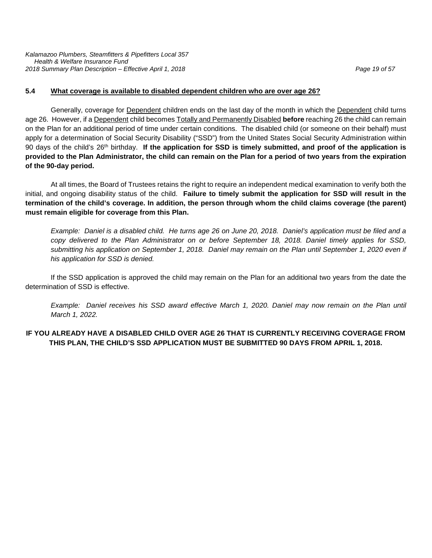#### **5.4 What coverage is available to disabled dependent children who are over age 26?**

Generally, coverage for Dependent children ends on the last day of the month in which the Dependent child turns age 26. However, if a Dependent child becomes Totally and Permanently Disabled **before** reaching 26 the child can remain on the Plan for an additional period of time under certain conditions. The disabled child (or someone on their behalf) must apply for a determination of Social Security Disability ("SSD") from the United States Social Security Administration within 90 days of the child's 26th birthday. **If the application for SSD is timely submitted, and proof of the application is provided to the Plan Administrator, the child can remain on the Plan for a period of two years from the expiration of the 90-day period.**

At all times, the Board of Trustees retains the right to require an independent medical examination to verify both the initial, and ongoing disability status of the child. **Failure to timely submit the application for SSD will result in the termination of the child's coverage. In addition, the person through whom the child claims coverage (the parent) must remain eligible for coverage from this Plan.** 

*Example: Daniel is a disabled child. He turns age 26 on June 20, 2018. Daniel's application must be filed and a copy delivered to the Plan Administrator on or before September 18, 2018. Daniel timely applies for SSD, submitting his application on September 1, 2018. Daniel may remain on the Plan until September 1, 2020 even if his application for SSD is denied.*

If the SSD application is approved the child may remain on the Plan for an additional two years from the date the determination of SSD is effective.

*Example: Daniel receives his SSD award effective March 1, 2020. Daniel may now remain on the Plan until March 1, 2022.* 

#### **IF YOU ALREADY HAVE A DISABLED CHILD OVER AGE 26 THAT IS CURRENTLY RECEIVING COVERAGE FROM THIS PLAN, THE CHILD'S SSD APPLICATION MUST BE SUBMITTED 90 DAYS FROM APRIL 1, 2018.**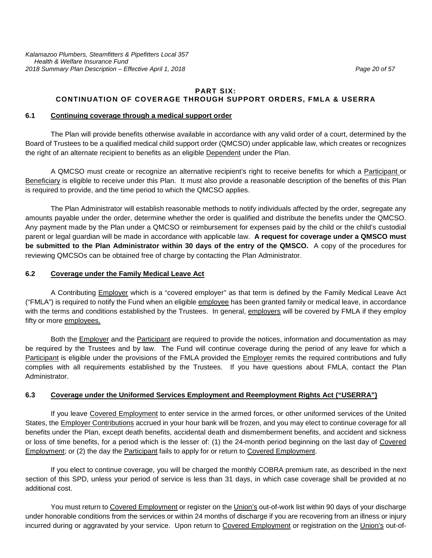#### **PART SIX: CONTINUATION OF COVERAGE THROUGH SUPPORT ORDERS, FMLA & USERRA**

#### **6.1 Continuing coverage through a medical support order**

The Plan will provide benefits otherwise available in accordance with any valid order of a court, determined by the Board of Trustees to be a qualified medical child support order (QMCSO) under applicable law, which creates or recognizes the right of an alternate recipient to benefits as an eligible Dependent under the Plan.

A QMCSO must create or recognize an alternative recipient's right to receive benefits for which a Participant or Beneficiary is eligible to receive under this Plan. It must also provide a reasonable description of the benefits of this Plan is required to provide, and the time period to which the QMCSO applies.

The Plan Administrator will establish reasonable methods to notify individuals affected by the order, segregate any amounts payable under the order, determine whether the order is qualified and distribute the benefits under the QMCSO. Any payment made by the Plan under a QMCSO or reimbursement for expenses paid by the child or the child's custodial parent or legal guardian will be made in accordance with applicable law. **A request for coverage under a QMSCO must be submitted to the Plan Administrator within 30 days of the entry of the QMSCO.** A copy of the procedures for reviewing QMCSOs can be obtained free of charge by contacting the Plan Administrator.

#### **6.2 Coverage under the Family Medical Leave Act**

A Contributing Employer which is a "covered employer" as that term is defined by the Family Medical Leave Act ("FMLA") is required to notify the Fund when an eligible employee has been granted family or medical leave, in accordance with the terms and conditions established by the Trustees. In general, employers will be covered by FMLA if they employ fifty or more employees.

Both the Employer and the Participant are required to provide the notices, information and documentation as may be required by the Trustees and by law. The Fund will continue coverage during the period of any leave for which a Participant is eligible under the provisions of the FMLA provided the Employer remits the required contributions and fully complies with all requirements established by the Trustees. If you have questions about FMLA, contact the Plan Administrator.

#### **6.3 Coverage under the Uniformed Services Employment and Reemployment Rights Act ("USERRA")**

If you leave Covered Employment to enter service in the armed forces, or other uniformed services of the United States, the Employer Contributions accrued in your hour bank will be frozen, and you may elect to continue coverage for all benefits under the Plan, except death benefits, accidental death and dismemberment benefits, and accident and sickness or loss of time benefits, for a period which is the lesser of: (1) the 24-month period beginning on the last day of Covered Employment; or (2) the day the Participant fails to apply for or return to Covered Employment.

If you elect to continue coverage, you will be charged the monthly COBRA premium rate, as described in the next section of this SPD, unless your period of service is less than 31 days, in which case coverage shall be provided at no additional cost.

You must return to Covered Employment or register on the Union's out-of-work list within 90 days of your discharge under honorable conditions from the services or within 24 months of discharge if you are recovering from an illness or injury incurred during or aggravated by your service. Upon return to Covered Employment or registration on the Union's out-of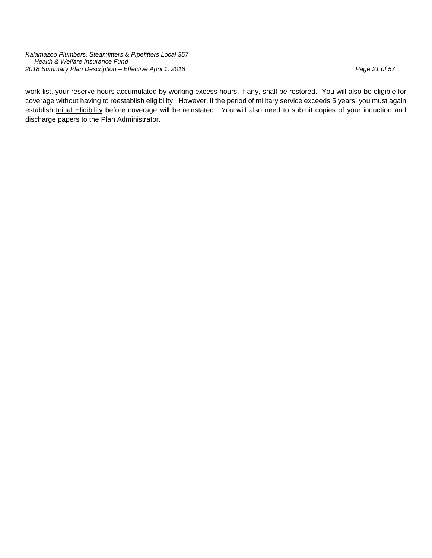*Kalamazoo Plumbers, Steamfitters & Pipefitters Local 357 Health & Welfare Insurance Fund 2018 Summary Plan Description – Effective April 1, 2018 Page 21 of 57*

work list, your reserve hours accumulated by working excess hours, if any, shall be restored. You will also be eligible for coverage without having to reestablish eligibility. However, if the period of military service exceeds 5 years, you must again establish Initial Eligibility before coverage will be reinstated. You will also need to submit copies of your induction and discharge papers to the Plan Administrator.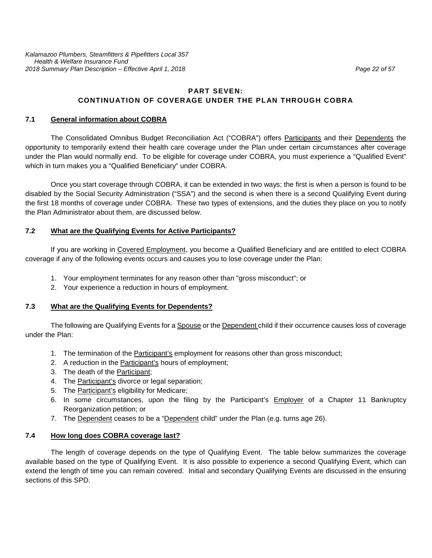# **PART SEVEN: CONTINUATION OF COVERAGE UNDER THE PLAN THROUGH COBRA**

#### **7.1 General information about COBRA**

The Consolidated Omnibus Budget Reconciliation Act ("COBRA") offers Participants and their Dependents the opportunity to temporarily extend their health care coverage under the Plan under certain circumstances after coverage under the Plan would normally end. To be eligible for coverage under COBRA, you must experience a "Qualified Event" which in turn makes you a "Qualified Beneficiary" under COBRA.

Once you start coverage through COBRA, it can be extended in two ways; the first is when a person is found to be disabled by the Social Security Administration ("SSA") and the second is when there is a second Qualifying Event during the first 18 months of coverage under COBRA. These two types of extensions, and the duties they place on you to notify the Plan Administrator about them, are discussed below.

#### **7.2 What are the Qualifying Events for Active Participants?**

If you are working in Covered Employment, you become a Qualified Beneficiary and are entitled to elect COBRA coverage if any of the following events occurs and causes you to lose coverage under the Plan:

- 1. Your employment terminates for any reason other than "gross misconduct"; or
- 2. Your experience a reduction in hours of employment.

#### **7.3 What are the Qualifying Events for Dependents?**

The following are Qualifying Events for a Spouse or the Dependent child if their occurrence causes loss of coverage under the Plan:

- 1. The termination of the Participant's employment for reasons other than gross misconduct;
- 2. A reduction in the Participant's hours of employment;
- 3. The death of the Participant;
- 4. The Participant's divorce or legal separation;
- 5. The Participant's eligibility for Medicare;
- 6. In some circumstances, upon the filing by the Participant's Employer of a Chapter 11 Bankruptcy Reorganization petition; or
- 7. The Dependent ceases to be a "Dependent child" under the Plan (e.g. turns age 26).

#### **7.4 How long does COBRA coverage last?**

The length of coverage depends on the type of Qualifying Event. The table below summarizes the coverage available based on the type of Qualifying Event. It is also possible to experience a second Qualifying Event, which can extend the length of time you can remain covered. Initial and secondary Qualifying Events are discussed in the ensuring sections of this SPD.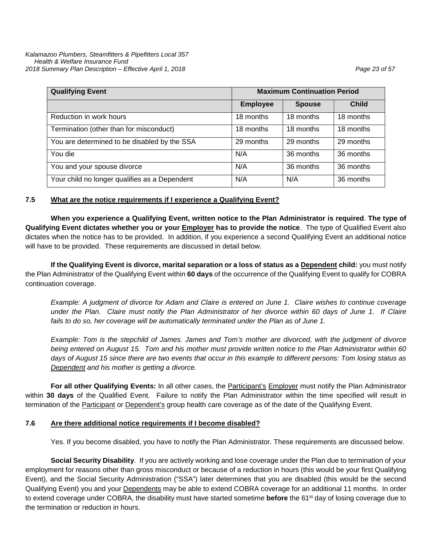| <b>Qualifying Event</b>                       | <b>Maximum Continuation Period</b> |               |              |
|-----------------------------------------------|------------------------------------|---------------|--------------|
|                                               | <b>Employee</b>                    | <b>Spouse</b> | <b>Child</b> |
| Reduction in work hours                       | 18 months                          | 18 months     | 18 months    |
| Termination (other than for misconduct)       | 18 months                          | 18 months     | 18 months    |
| You are determined to be disabled by the SSA  | 29 months                          | 29 months     | 29 months    |
| You die                                       | N/A                                | 36 months     | 36 months    |
| You and your spouse divorce                   | N/A                                | 36 months     | 36 months    |
| Your child no longer qualifies as a Dependent | N/A                                | N/A           | 36 months    |

#### **7.5 What are the notice requirements if I experience a Qualifying Event?**

**When you experience a Qualifying Event, written notice to the Plan Administrator is required**. **The type of Qualifying Event dictates whether you or your Employer has to provide the notice**. The type of Qualified Event also dictates when the notice has to be provided. In addition, if you experience a second Qualifying Event an additional notice will have to be provided. These requirements are discussed in detail below.

**If the Qualifying Event is divorce, marital separation or a loss of status as a Dependent child:** you must notify the Plan Administrator of the Qualifying Event within **60 days** of the occurrence of the Qualifying Event to qualify for COBRA continuation coverage.

*Example: A judgment of divorce for Adam and Claire is entered on June 1. Claire wishes to continue coverage under the Plan. Claire must notify the Plan Administrator of her divorce within 60 days of June 1. If Claire*  fails to do so, her coverage will be automatically terminated under the Plan as of June 1.

*Example: Tom is the stepchild of James. James and Tom's mother are divorced, with the judgment of divorce being entered on August 15. Tom and his mother must provide written notice to the Plan Administrator within 60 days of August 15 since there are two events that occur in this example to different persons: Tom losing status as Dependent and his mother is getting a divorce.*

**For all other Qualifying Events:** In all other cases, the Participant's Employer must notify the Plan Administrator within **30 days** of the Qualified Event. Failure to notify the Plan Administrator within the time specified will result in termination of the Participant or Dependent's group health care coverage as of the date of the Qualifying Event.

#### **7.6 Are there additional notice requirements if I become disabled?**

Yes. If you become disabled, you have to notify the Plan Administrator. These requirements are discussed below.

**Social Security Disability**. If you are actively working and lose coverage under the Plan due to termination of your employment for reasons other than gross misconduct or because of a reduction in hours (this would be your first Qualifying Event), and the Social Security Administration ("SSA") later determines that you are disabled (this would be the second Qualifying Event) you and your Dependents may be able to extend COBRA coverage for an additional 11 months. In order to extend coverage under COBRA, the disability must have started sometime **before** the 61st day of losing coverage due to the termination or reduction in hours.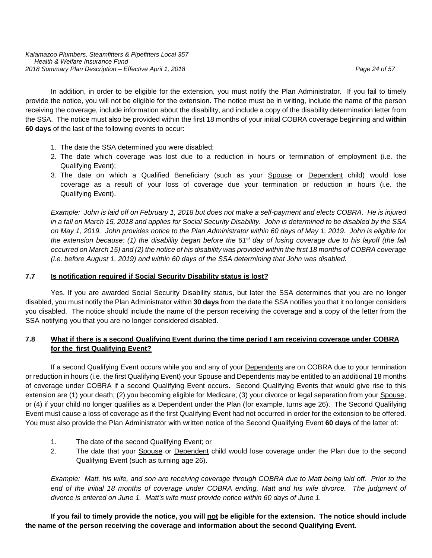In addition, in order to be eligible for the extension, you must notify the Plan Administrator. If you fail to timely provide the notice, you will not be eligible for the extension. The notice must be in writing, include the name of the person receiving the coverage, include information about the disability, and include a copy of the disability determination letter from the SSA. The notice must also be provided within the first 18 months of your initial COBRA coverage beginning and **within 60 days** of the last of the following events to occur:

- 1. The date the SSA determined you were disabled;
- 2. The date which coverage was lost due to a reduction in hours or termination of employment (i.e. the Qualifying Event);
- 3. The date on which a Qualified Beneficiary (such as your Spouse or Dependent child) would lose coverage as a result of your loss of coverage due your termination or reduction in hours (i.e. the Qualifying Event).

*Example: John is laid off on February 1, 2018 but does not make a self-payment and elects COBRA. He is injured in a fall on March 15, 2018 and applies for Social Security Disability. John is determined to be disabled by the SSA on May 1, 2019. John provides notice to the Plan Administrator within 60 days of May 1, 2019. John is eligible for the extension because: (1) the disability began before the 61st day of losing coverage due to his layoff (the fall occurred on March 15) and (2) the notice of his disability was provided within the first 18 months of COBRA coverage (i.e. before August 1, 2019) and within 60 days of the SSA determining that John was disabled.*

# **7.7 Is notification required if Social Security Disability status is lost?**

Yes. If you are awarded Social Security Disability status, but later the SSA determines that you are no longer disabled, you must notify the Plan Administrator within **30 days** from the date the SSA notifies you that it no longer considers you disabled. The notice should include the name of the person receiving the coverage and a copy of the letter from the SSA notifying you that you are no longer considered disabled.

# **7.8 What if there is a second Qualifying Event during the time period I am receiving coverage under COBRA for the first Qualifying Event?**

If a second Qualifying Event occurs while you and any of your Dependents are on COBRA due to your termination or reduction in hours (i.e. the first Qualifying Event) your Spouse and Dependents may be entitled to an additional 18 months of coverage under COBRA if a second Qualifying Event occurs. Second Qualifying Events that would give rise to this extension are (1) your death; (2) you becoming eligible for Medicare; (3) your divorce or legal separation from your Spouse; or (4) if your child no longer qualifies as a Dependent under the Plan (for example, turns age 26). The Second Qualifying Event must cause a loss of coverage as if the first Qualifying Event had not occurred in order for the extension to be offered. You must also provide the Plan Administrator with written notice of the Second Qualifying Event **60 days** of the latter of:

- 1. The date of the second Qualifying Event; or
- 2. The date that your Spouse or Dependent child would lose coverage under the Plan due to the second Qualifying Event (such as turning age 26).

*Example: Matt, his wife, and son are receiving coverage through COBRA due to Matt being laid off. Prior to the*  end of the initial 18 months of coverage under COBRA ending, Matt and his wife divorce. The judgment of *divorce is entered on June 1. Matt's wife must provide notice within 60 days of June 1.* 

**If you fail to timely provide the notice, you will not be eligible for the extension. The notice should include the name of the person receiving the coverage and information about the second Qualifying Event.**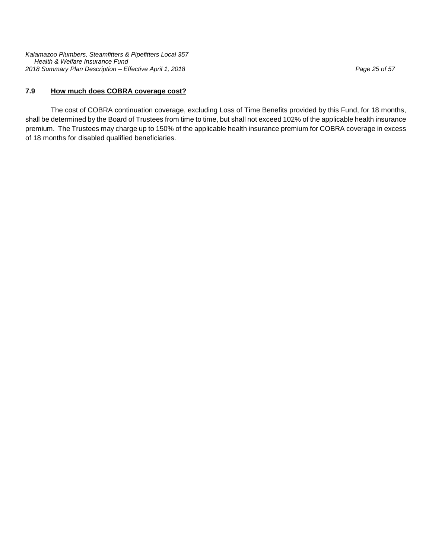*Kalamazoo Plumbers, Steamfitters & Pipefitters Local 357 Health & Welfare Insurance Fund 2018 Summary Plan Description – Effective April 1, 2018 Page 25 of 57*

#### **7.9 How much does COBRA coverage cost?**

The cost of COBRA continuation coverage, excluding Loss of Time Benefits provided by this Fund, for 18 months, shall be determined by the Board of Trustees from time to time, but shall not exceed 102% of the applicable health insurance premium. The Trustees may charge up to 150% of the applicable health insurance premium for COBRA coverage in excess of 18 months for disabled qualified beneficiaries.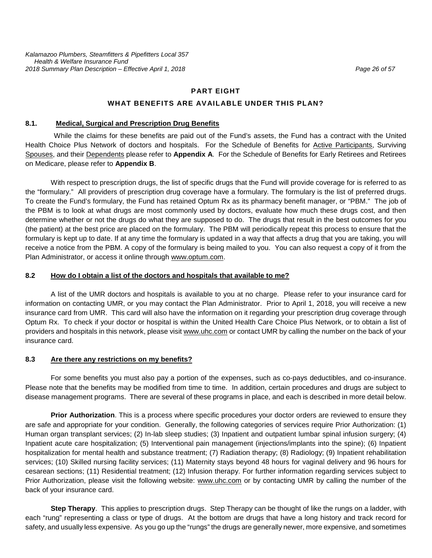#### **PART EIGHT**

#### **WHAT BENEFITS ARE AVAILABLE UNDER THIS PLAN?**

# **8.1. Medical, Surgical and Prescription Drug Benefits**

While the claims for these benefits are paid out of the Fund's assets, the Fund has a contract with the United Health Choice Plus Network of doctors and hospitals. For the Schedule of Benefits for Active Participants, Surviving Spouses, and their Dependents please refer to **Appendix A**. For the Schedule of Benefits for Early Retirees and Retirees on Medicare, please refer to **Appendix B**.

With respect to prescription drugs, the list of specific drugs that the Fund will provide coverage for is referred to as the "formulary." All providers of prescription drug coverage have a formulary. The formulary is the list of preferred drugs. To create the Fund's formulary, the Fund has retained Optum Rx as its pharmacy benefit manager, or "PBM." The job of the PBM is to look at what drugs are most commonly used by doctors, evaluate how much these drugs cost, and then determine whether or not the drugs do what they are supposed to do. The drugs that result in the best outcomes for you (the patient) at the best price are placed on the formulary. The PBM will periodically repeat this process to ensure that the formulary is kept up to date. If at any time the formulary is updated in a way that affects a drug that you are taking, you will receive a notice from the PBM. A copy of the formulary is being mailed to you. You can also request a copy of it from the Plan Administrator, or access it online through [www.optum.com.](http://www.optum.com/)

#### **8.2 How do I obtain a list of the doctors and hospitals that available to me?**

A list of the UMR doctors and hospitals is available to you at no charge. Please refer to your insurance card for information on contacting UMR, or you may contact the Plan Administrator. Prior to April 1, 2018, you will receive a new insurance card from UMR. This card will also have the information on it regarding your prescription drug coverage through Optum Rx. To check if your doctor or hospital is within the United Health Care Choice Plus Network, or to obtain a list of providers and hospitals in this network, please visit [www.uhc.com](http://www.uhc.com/) or contact UMR by calling the number on the back of your insurance card.

#### **8.3 Are there any restrictions on my benefits?**

For some benefits you must also pay a portion of the expenses, such as co-pays deductibles, and co-insurance. Please note that the benefits may be modified from time to time. In addition, certain procedures and drugs are subject to disease management programs. There are several of these programs in place, and each is described in more detail below.

**Prior Authorization**. This is a process where specific procedures your doctor orders are reviewed to ensure they are safe and appropriate for your condition. Generally, the following categories of services require Prior Authorization: (1) Human organ transplant services; (2) In-lab sleep studies; (3) Inpatient and outpatient lumbar spinal infusion surgery; (4) Inpatient acute care hospitalization; (5) Interventional pain management (injections/implants into the spine); (6) Inpatient hospitalization for mental health and substance treatment; (7) Radiation therapy; (8) Radiology; (9) Inpatient rehabilitation services; (10) Skilled nursing facility services; (11) Maternity stays beyond 48 hours for vaginal delivery and 96 hours for cesarean sections; (11) Residential treatment; (12) Infusion therapy. For further information regarding services subject to Prior Authorization, please visit the following website: [www.uhc.com](http://www.uhc.com/) or by contacting UMR by calling the number of the back of your insurance card.

**Step Therapy**. This applies to prescription drugs. Step Therapy can be thought of like the rungs on a ladder, with each "rung" representing a class or type of drugs. At the bottom are drugs that have a long history and track record for safety, and usually less expensive. As you go up the "rungs" the drugs are generally newer, more expensive, and sometimes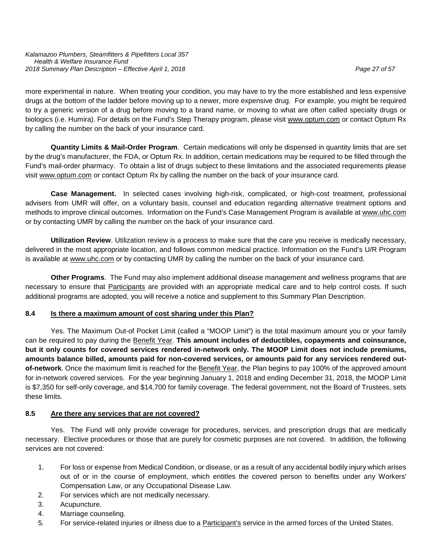more experimental in nature. When treating your condition, you may have to try the more established and less expensive drugs at the bottom of the ladder before moving up to a newer, more expensive drug. For example, you might be required to try a generic version of a drug before moving to a brand name, or moving to what are often called specialty drugs or biologics (i.e. Humira). For details on the Fund's Step Therapy program, please visit [www.optum.com](http://www.optum.com/) or contact Optum Rx by calling the number on the back of your insurance card.

**Quantity Limits & Mail-Order Program**. Certain medications will only be dispensed in quantity limits that are set by the drug's manufacturer, the FDA, or Optum Rx. In addition, certain medications may be required to be filled through the Fund's mail-order pharmacy. To obtain a list of drugs subject to these limitations and the associated requirements please visit [www.optum.com](http://www.optum.com/) or contact Optum Rx by calling the number on the back of your insurance card.

**Case Management.** In selected cases involving high-risk, complicated, or high-cost treatment, professional advisers from UMR will offer, on a voluntary basis, counsel and education regarding alternative treatment options and methods to improve clinical outcomes. Information on the Fund's Case Management Program is available at [www.uhc.com](http://www.uhc.com/) or by contacting UMR by calling the number on the back of your insurance card.

**Utilization Review**. Utilization review is a process to make sure that the care you receive is medically necessary, delivered in the most appropriate location, and follows common medical practice. Information on the Fund's U/R Program is available at [www.uhc.com](http://www.uhc.com/) or by contacting UMR by calling the number on the back of your insurance card.

**Other Programs**. The Fund may also implement additional disease management and wellness programs that are necessary to ensure that **Participants** are provided with an appropriate medical care and to help control costs. If such additional programs are adopted, you will receive a notice and supplement to this Summary Plan Description.

#### **8.4 Is there a maximum amount of cost sharing under this Plan?**

Yes. The Maximum Out-of Pocket Limit (called a "MOOP Limit") is the total maximum amount you or your family can be required to pay during the Benefit Year. **This amount includes of deductibles, copayments and coinsurance, but it only counts for covered services rendered in-network only. The MOOP Limit does not include premiums, amounts balance billed, amounts paid for non-covered services, or amounts paid for any services rendered outof-network**. Once the maximum limit is reached for the Benefit Year, the Plan begins to pay 100% of the approved amount for in-network covered services. For the year beginning January 1, 2018 and ending December 31, 2018, the MOOP Limit is \$7,350 for self-only coverage, and \$14,700 for family coverage. The federal government, not the Board of Trustees, sets these limits.

# **8.5 Are there any services that are not covered?**

Yes. The Fund will only provide coverage for procedures, services, and prescription drugs that are medically necessary. Elective procedures or those that are purely for cosmetic purposes are not covered. In addition, the following services are not covered:

- 1. For loss or expense from Medical Condition, or disease, or as a result of any accidental bodily injury which arises out of or in the course of employment, which entitles the covered person to benefits under any Workers' Compensation Law, or any Occupational Disease Law.
- 2. For services which are not medically necessary.
- 3. Acupuncture.
- 4. Marriage counseling.
- 5. For service-related injuries or illness due to a **Participant's service in the armed forces of the United States.**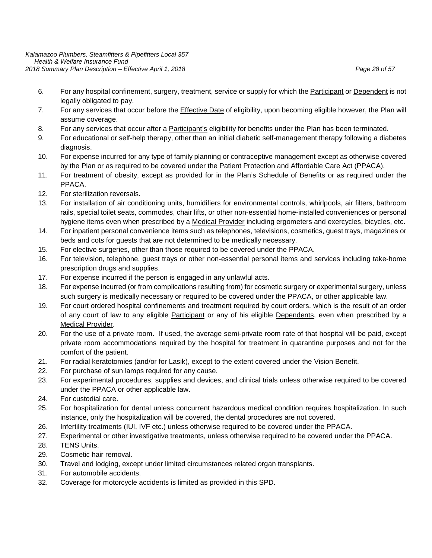- 6. For any hospital confinement, surgery, treatment, service or supply for which the Participant or Dependent is not legally obligated to pay.
- 7. For any services that occur before the Effective Date of eligibility, upon becoming eligible however, the Plan will assume coverage.
- 8. For any services that occur after a Participant's eligibility for benefits under the Plan has been terminated.
- 9. For educational or self-help therapy, other than an initial diabetic self-management therapy following a diabetes diagnosis.
- 10. For expense incurred for any type of family planning or contraceptive management except as otherwise covered by the Plan or as required to be covered under the Patient Protection and Affordable Care Act (PPACA).
- 11. For treatment of obesity, except as provided for in the Plan's Schedule of Benefits or as required under the PPACA.
- 12. For sterilization reversals.
- 13. For installation of air conditioning units, humidifiers for environmental controls, whirlpools, air filters, bathroom rails, special toilet seats, commodes, chair lifts, or other non-essential home-installed conveniences or personal hygiene items even when prescribed by a Medical Provider including ergometers and exercycles, bicycles, etc.
- 14. For inpatient personal convenience items such as telephones, televisions, cosmetics, guest trays, magazines or beds and cots for guests that are not determined to be medically necessary.
- 15. For elective surgeries, other than those required to be covered under the PPACA.
- 16. For television, telephone, guest trays or other non-essential personal items and services including take-home prescription drugs and supplies.
- 17. For expense incurred if the person is engaged in any unlawful acts.
- 18. For expense incurred (or from complications resulting from) for cosmetic surgery or experimental surgery, unless such surgery is medically necessary or required to be covered under the PPACA, or other applicable law.
- 19. For court ordered hospital confinements and treatment required by court orders, which is the result of an order of any court of law to any eligible Participant or any of his eligible Dependents, even when prescribed by a Medical Provider.
- 20. For the use of a private room. If used, the average semi-private room rate of that hospital will be paid, except private room accommodations required by the hospital for treatment in quarantine purposes and not for the comfort of the patient.
- 21. For radial keratotomies (and/or for Lasik), except to the extent covered under the Vision Benefit.
- 22. For purchase of sun lamps required for any cause.
- 23. For experimental procedures, supplies and devices, and clinical trials unless otherwise required to be covered under the PPACA or other applicable law.
- 24. For custodial care.
- 25. For hospitalization for dental unless concurrent hazardous medical condition requires hospitalization. In such instance, only the hospitalization will be covered, the dental procedures are not covered.
- 26. Infertility treatments (IUI, IVF etc.) unless otherwise required to be covered under the PPACA.
- 27. Experimental or other investigative treatments, unless otherwise required to be covered under the PPACA.
- 28. TENS Units.
- 29. Cosmetic hair removal.
- 30. Travel and lodging, except under limited circumstances related organ transplants.
- 31. For automobile accidents.
- 32. Coverage for motorcycle accidents is limited as provided in this SPD.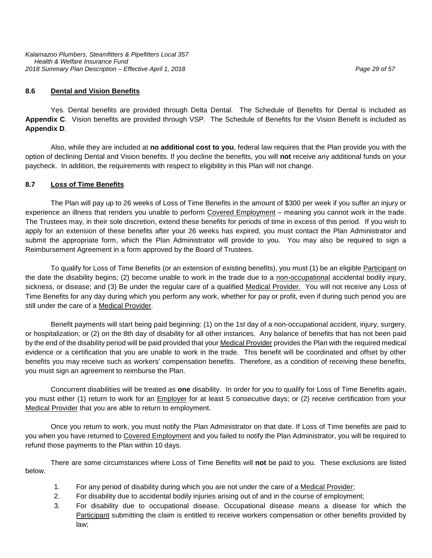#### **8.6 Dental and Vision Benefits**

Yes. Dental benefits are provided through Delta Dental. The Schedule of Benefits for Dental is included as **Appendix C**. Vision benefits are provided through VSP. The Schedule of Benefits for the Vision Benefit is included as **Appendix D**.

Also, while they are included at **no additional cost to you**, federal law requires that the Plan provide you with the option of declining Dental and Vision benefits. If you decline the benefits, you will **not** receive any additional funds on your paycheck. In addition, the requirements with respect to eligibility in this Plan will not change.

#### **8.7 Loss of Time Benefits**

The Plan will pay up to 26 weeks of Loss of Time Benefits in the amount of \$300 per week if you suffer an injury or experience an illness that renders you unable to perform Covered Employment - meaning you cannot work in the trade. The Trustees may, in their sole discretion, extend these benefits for periods of time in excess of this period. If you wish to apply for an extension of these benefits after your 26 weeks has expired, you must contact the Plan Administrator and submit the appropriate form, which the Plan Administrator will provide to you. You may also be required to sign a Reimbursement Agreement in a form approved by the Board of Trustees.

To qualify for Loss of Time Benefits (or an extension of existing benefits), you must (1) be an eligible Participant on the date the disability begins; (2) become unable to work in the trade due to a non-occupational accidental bodily injury, sickness, or disease; and (3) Be under the regular care of a qualified Medical Provider. You will not receive any Loss of Time Benefits for any day during which you perform any work, whether for pay or profit, even if during such period you are still under the care of a Medical Provider.

Benefit payments will start being paid beginning: (1) on the 1st day of a non-occupational accident, injury, surgery, or hospitalization; or (2) on the 8th day of disability for all other instances. Any balance of benefits that has not been paid by the end of the disability period will be paid provided that your Medical Provider provides the Plan with the required medical evidence or a certification that you are unable to work in the trade. This benefit will be coordinated and offset by other benefits you may receive such as workers' compensation benefits. Therefore, as a condition of receiving these benefits, you must sign an agreement to reimburse the Plan.

Concurrent disabilities will be treated as **one** disability. In order for you to qualify for Loss of Time Benefits again, you must either (1) return to work for an Employer for at least 5 consecutive days; or (2) receive certification from your Medical Provider that you are able to return to employment.

Once you return to work, you must notify the Plan Administrator on that date. If Loss of Time benefits are paid to you when you have returned to Covered Employment and you failed to notify the Plan Administrator, you will be required to refund those payments to the Plan within 10 days.

There are some circumstances where Loss of Time Benefits will **not** be paid to you. These exclusions are listed below.

- 1. For any period of disability during which you are not under the care of a Medical Provider;
- 2. For disability due to accidental bodily injuries arising out of and in the course of employment;
- 3. For disability due to occupational disease. Occupational disease means a disease for which the Participant submitting the claim is entitled to receive workers compensation or other benefits provided by law;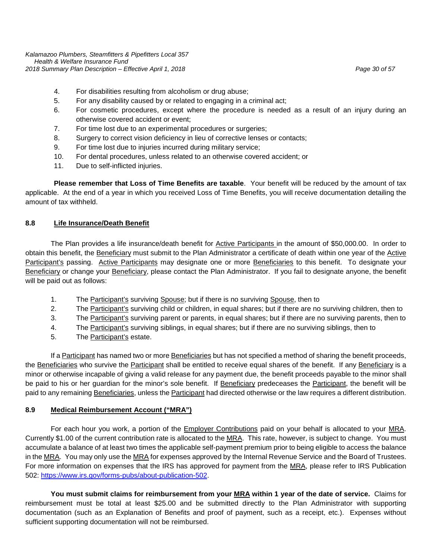*Kalamazoo Plumbers, Steamfitters & Pipefitters Local 357 Health & Welfare Insurance Fund 2018 Summary Plan Description – Effective April 1, 2018 Page 30 of 57*

- 4. For disabilities resulting from alcoholism or drug abuse;
- 5. For any disability caused by or related to engaging in a criminal act;
- 6. For cosmetic procedures, except where the procedure is needed as a result of an injury during an otherwise covered accident or event;
- 7. For time lost due to an experimental procedures or surgeries;
- 8. Surgery to correct vision deficiency in lieu of corrective lenses or contacts;
- 9. For time lost due to injuries incurred during military service;
- 10. For dental procedures, unless related to an otherwise covered accident; or
- 11. Due to self-inflicted injuries.

**Please remember that Loss of Time Benefits are taxable**. Your benefit will be reduced by the amount of tax applicable. At the end of a year in which you received Loss of Time Benefits, you will receive documentation detailing the amount of tax withheld.

#### **8.8 Life Insurance/Death Benefit**

The Plan provides a life insurance/death benefit for Active Participants in the amount of \$50,000.00. In order to obtain this benefit, the Beneficiary must submit to the Plan Administrator a certificate of death within one year of the Active Participant's passing. Active Participants may designate one or more Beneficiaries to this benefit. To designate your Beneficiary or change your Beneficiary, please contact the Plan Administrator. If you fail to designate anyone, the benefit will be paid out as follows:

- 1. The Participant's surviving Spouse; but if there is no surviving Spouse, then to
- 2. The Participant's surviving child or children, in equal shares; but if there are no surviving children, then to
- 3. The Participant's surviving parent or parents, in equal shares; but if there are no surviving parents, then to
- 4. The Participant's surviving siblings, in equal shares; but if there are no surviving siblings, then to
- 5. The Participant's estate.

If a Participant has named two or more Beneficiaries but has not specified a method of sharing the benefit proceeds, the Beneficiaries who survive the Participant shall be entitled to receive equal shares of the benefit. If any Beneficiary is a minor or otherwise incapable of giving a valid release for any payment due, the benefit proceeds payable to the minor shall be paid to his or her guardian for the minor's sole benefit. If Beneficiary predeceases the Participant, the benefit will be paid to any remaining Beneficiaries, unless the Participant had directed otherwise or the law requires a different distribution.

#### **8.9 Medical Reimbursement Account ("MRA")**

For each hour you work, a portion of the **Employer Contributions** paid on your behalf is allocated to your MRA. Currently \$1.00 of the current contribution rate is allocated to the MRA. This rate, however, is subject to change. You must accumulate a balance of at least two times the applicable self-payment premium prior to being eligible to access the balance in the MRA. You may only use the MRA for expenses approved by the Internal Revenue Service and the Board of Trustees. For more information on expenses that the IRS has approved for payment from the MRA, please refer to IRS Publication 502: [https://www.irs.gov/forms-pubs/about-publication-502.](https://www.irs.gov/forms-pubs/about-publication-502)

**You must submit claims for reimbursement from your MRA within 1 year of the date of service.** Claims for reimbursement must be total at least \$25.00 and be submitted directly to the Plan Administrator with supporting documentation (such as an Explanation of Benefits and proof of payment, such as a receipt, etc.). Expenses without sufficient supporting documentation will not be reimbursed.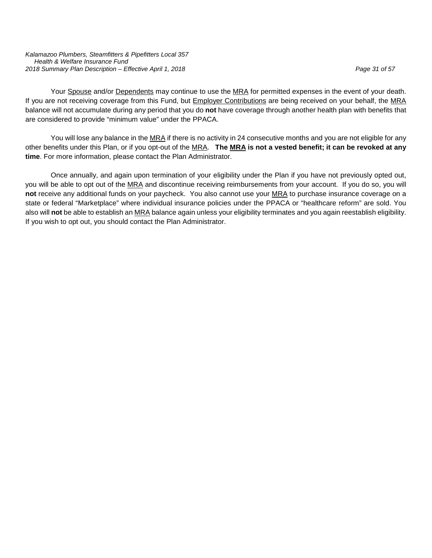*Kalamazoo Plumbers, Steamfitters & Pipefitters Local 357 Health & Welfare Insurance Fund 2018 Summary Plan Description – Effective April 1, 2018 Page 31 of 57*

Your Spouse and/or Dependents may continue to use the MRA for permitted expenses in the event of your death. If you are not receiving coverage from this Fund, but Employer Contributions are being received on your behalf, the MRA balance will not accumulate during any period that you do **not** have coverage through another health plan with benefits that are considered to provide "minimum value" under the PPACA.

You will lose any balance in the MRA if there is no activity in 24 consecutive months and you are not eligible for any other benefits under this Plan, or if you opt-out of the MRA. **The MRA is not a vested benefit; it can be revoked at any time**. For more information, please contact the Plan Administrator.

Once annually, and again upon termination of your eligibility under the Plan if you have not previously opted out, you will be able to opt out of the MRA and discontinue receiving reimbursements from your account. If you do so, you will **not** receive any additional funds on your paycheck. You also cannot use your MRA to purchase insurance coverage on a state or federal "Marketplace" where individual insurance policies under the PPACA or "healthcare reform" are sold. You also will **not** be able to establish an MRA balance again unless your eligibility terminates and you again reestablish eligibility. If you wish to opt out, you should contact the Plan Administrator.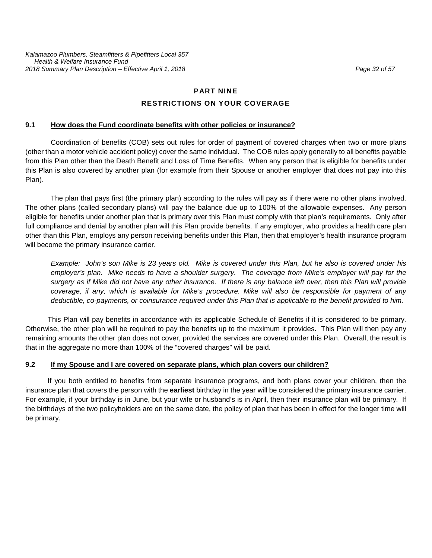# **PART NINE**

#### **RESTRICTIONS ON YOUR COVERAGE**

#### **9.1 How does the Fund coordinate benefits with other policies or insurance?**

Coordination of benefits (COB) sets out rules for order of payment of covered charges when two or more plans (other than a motor vehicle accident policy) cover the same individual. The COB rules apply generally to all benefits payable from this Plan other than the Death Benefit and Loss of Time Benefits. When any person that is eligible for benefits under this Plan is also covered by another plan (for example from their Spouse or another employer that does not pay into this Plan).

The plan that pays first (the primary plan) according to the rules will pay as if there were no other plans involved. The other plans (called secondary plans) will pay the balance due up to 100% of the allowable expenses. Any person eligible for benefits under another plan that is primary over this Plan must comply with that plan's requirements. Only after full compliance and denial by another plan will this Plan provide benefits. If any employer, who provides a health care plan other than this Plan, employs any person receiving benefits under this Plan, then that employer's health insurance program will become the primary insurance carrier.

*Example: John's son Mike is 23 years old. Mike is covered under this Plan, but he also is covered under his employer's plan. Mike needs to have a shoulder surgery. The coverage from Mike's employer will pay for the surgery as if Mike did not have any other insurance. If there is any balance left over, then this Plan will provide coverage, if any, which is available for Mike's procedure. Mike will also be responsible for payment of any deductible, co-payments, or coinsurance required under this Plan that is applicable to the benefit provided to him.* 

This Plan will pay benefits in accordance with its applicable Schedule of Benefits if it is considered to be primary. Otherwise, the other plan will be required to pay the benefits up to the maximum it provides. This Plan will then pay any remaining amounts the other plan does not cover, provided the services are covered under this Plan. Overall, the result is that in the aggregate no more than 100% of the "covered charges" will be paid.

#### **9.2 If my Spouse and I are covered on separate plans, which plan covers our children?**

If you both entitled to benefits from separate insurance programs, and both plans cover your children, then the insurance plan that covers the person with the **earliest** birthday in the year will be considered the primary insurance carrier. For example, if your birthday is in June, but your wife or husband's is in April, then their insurance plan will be primary. If the birthdays of the two policyholders are on the same date, the policy of plan that has been in effect for the longer time will be primary.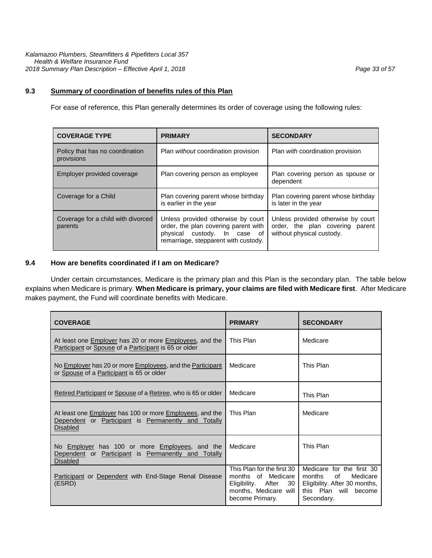For ease of reference, this Plan generally determines its order of coverage using the following rules:

| <b>COVERAGE TYPE</b>                          | <b>PRIMARY</b>                                                                                                                                     | <b>SECONDARY</b>                                                                                   |
|-----------------------------------------------|----------------------------------------------------------------------------------------------------------------------------------------------------|----------------------------------------------------------------------------------------------------|
| Policy that has no coordination<br>provisions | Plan <i>without</i> coordination provision                                                                                                         | Plan <i>with</i> coordination provision                                                            |
| Employer provided coverage                    | Plan covering person as employee                                                                                                                   | Plan covering person as spouse or<br>dependent                                                     |
| Coverage for a Child                          | Plan covering parent whose birthday<br>is earlier in the year                                                                                      | Plan covering parent whose birthday<br>is later in the year                                        |
| Coverage for a child with divorced<br>parents | Unless provided otherwise by court<br>order, the plan covering parent with<br>physical custody. In case of<br>remarriage, stepparent with custody. | Unless provided otherwise by court<br>order, the plan covering parent<br>without physical custody. |

#### **9.4 How are benefits coordinated if I am on Medicare?**

Under certain circumstances, Medicare is the primary plan and this Plan is the secondary plan. The table below explains when Medicare is primary. **When Medicare is primary, your claims are filed with Medicare first**. After Medicare makes payment, the Fund will coordinate benefits with Medicare.

| <b>COVERAGE</b>                                                                                                                    | <b>PRIMARY</b>                                                                                                                           | <b>SECONDARY</b>                                                                                                                 |
|------------------------------------------------------------------------------------------------------------------------------------|------------------------------------------------------------------------------------------------------------------------------------------|----------------------------------------------------------------------------------------------------------------------------------|
| At least one Employer has 20 or more Employees, and the<br>Participant or Spouse of a Participant is 65 or older                   | This Plan                                                                                                                                | Medicare                                                                                                                         |
| No Employer has 20 or more Employees, and the Participant<br>or Spouse of a Participant is 65 or older                             | Medicare                                                                                                                                 | This Plan                                                                                                                        |
| Retired Participant or Spouse of a Retiree, who is 65 or older                                                                     | Medicare                                                                                                                                 | This Plan                                                                                                                        |
| At least one Employer has 100 or more Employees, and the<br>Dependent or Participant is Permanently and Totally<br><b>Disabled</b> | This Plan                                                                                                                                | Medicare                                                                                                                         |
| No Employer has 100 or more Employees, and the<br>Dependent or Participant is Permanently and Totally<br><b>Disabled</b>           | Medicare                                                                                                                                 | This Plan                                                                                                                        |
| Participant or Dependent with End-Stage Renal Disease<br>(ESRD)                                                                    | This Plan for the first 30<br>months of Medicare<br>Eligibility.<br>After<br>30 <sup>1</sup><br>months, Medicare will<br>become Primary. | Medicare for the first 30<br>months<br>of<br>Medicare<br>Eligibility. After 30 months,<br>this Plan will<br>become<br>Secondary. |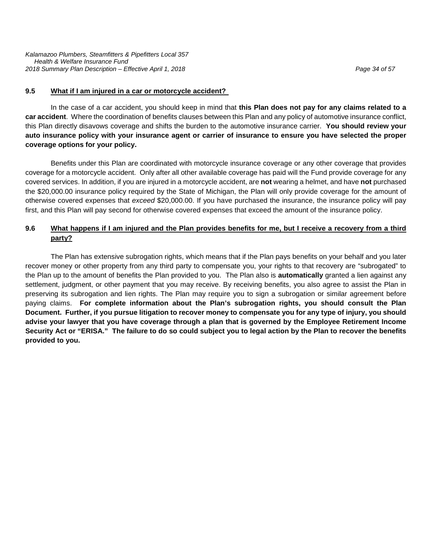#### **9.5 What if I am injured in a car or motorcycle accident?**

In the case of a car accident, you should keep in mind that **this Plan does not pay for any claims related to a car accident**. Where the coordination of benefits clauses between this Plan and any policy of automotive insurance conflict, this Plan directly disavows coverage and shifts the burden to the automotive insurance carrier. **You should review your auto insurance policy with your insurance agent or carrier of insurance to ensure you have selected the proper coverage options for your policy.**

Benefits under this Plan are coordinated with motorcycle insurance coverage or any other coverage that provides coverage for a motorcycle accident. Only after all other available coverage has paid will the Fund provide coverage for any covered services. In addition, if you are injured in a motorcycle accident, are **not** wearing a helmet, and have **not** purchased the \$20,000.00 insurance policy required by the State of Michigan, the Plan will only provide coverage for the amount of otherwise covered expenses that *exceed* \$20,000.00. If you have purchased the insurance, the insurance policy will pay first, and this Plan will pay second for otherwise covered expenses that exceed the amount of the insurance policy.

# **9.6 What happens if I am injured and the Plan provides benefits for me, but I receive a recovery from a third party?**

The Plan has extensive subrogation rights, which means that if the Plan pays benefits on your behalf and you later recover money or other property from any third party to compensate you, your rights to that recovery are "subrogated" to the Plan up to the amount of benefits the Plan provided to you. The Plan also is **automatically** granted a lien against any settlement, judgment, or other payment that you may receive. By receiving benefits, you also agree to assist the Plan in preserving its subrogation and lien rights. The Plan may require you to sign a subrogation or similar agreement before paying claims. **For complete information about the Plan's subrogation rights, you should consult the Plan Document. Further, if you pursue litigation to recover money to compensate you for any type of injury, you should advise your lawyer that you have coverage through a plan that is governed by the Employee Retirement Income Security Act or "ERISA." The failure to do so could subject you to legal action by the Plan to recover the benefits provided to you.**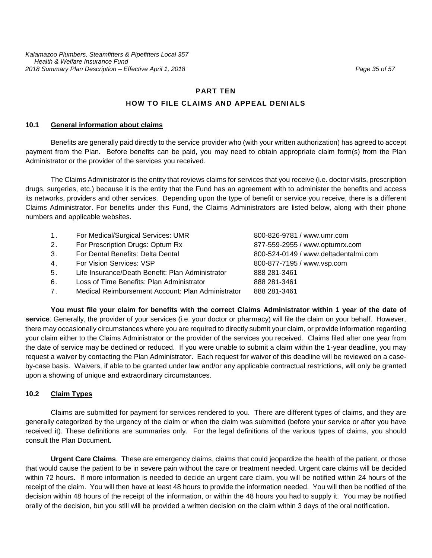#### **PART TEN**

#### **HOW TO FILE CLAIMS AND APPEAL DENIALS**

#### **10.1 General information about claims**

Benefits are generally paid directly to the service provider who (with your written authorization) has agreed to accept payment from the Plan. Before benefits can be paid, you may need to obtain appropriate claim form(s) from the Plan Administrator or the provider of the services you received.

The Claims Administrator is the entity that reviews claims for services that you receive (i.e. doctor visits, prescription drugs, surgeries, etc.) because it is the entity that the Fund has an agreement with to administer the benefits and access its networks, providers and other services. Depending upon the type of benefit or service you receive, there is a different Claims Administrator. For benefits under this Fund, the Claims Administrators are listed below, along with their phone numbers and applicable websites.

| 1. | For Medical/Surgical Services: UMR                | 800-826-9781 / www.umr.com           |
|----|---------------------------------------------------|--------------------------------------|
| 2. | For Prescription Drugs: Optum Rx                  | 877-559-2955 / www.optumrx.com       |
| 3. | For Dental Benefits: Delta Dental                 | 800-524-0149 / www.deltadentalmi.com |
| 4. | For Vision Services: VSP                          | 800-877-7195 / www.vsp.com           |
| 5. | Life Insurance/Death Benefit: Plan Administrator  | 888 281-3461                         |
| 6. | Loss of Time Benefits: Plan Administrator         | 888 281-3461                         |
| 7. | Medical Reimbursement Account: Plan Administrator | 888 281-3461                         |

**You must file your claim for benefits with the correct Claims Administrator within 1 year of the date of service**. Generally, the provider of your services (i.e. your doctor or pharmacy) will file the claim on your behalf. However, there may occasionally circumstances where you are required to directly submit your claim, or provide information regarding your claim either to the Claims Administrator or the provider of the services you received. Claims filed after one year from the date of service may be declined or reduced. If you were unable to submit a claim within the 1-year deadline, you may request a waiver by contacting the Plan Administrator. Each request for waiver of this deadline will be reviewed on a caseby-case basis. Waivers, if able to be granted under law and/or any applicable contractual restrictions, will only be granted upon a showing of unique and extraordinary circumstances.

#### **10.2 Claim Types**

Claims are submitted for payment for services rendered to you. There are different types of claims, and they are generally categorized by the urgency of the claim or when the claim was submitted (before your service or after you have received it). These definitions are summaries only. For the legal definitions of the various types of claims, you should consult the Plan Document.

**Urgent Care Claims**. These are emergency claims, claims that could jeopardize the health of the patient, or those that would cause the patient to be in severe pain without the care or treatment needed. Urgent care claims will be decided within 72 hours. If more information is needed to decide an urgent care claim, you will be notified within 24 hours of the receipt of the claim. You will then have at least 48 hours to provide the information needed. You will then be notified of the decision within 48 hours of the receipt of the information, or within the 48 hours you had to supply it. You may be notified orally of the decision, but you still will be provided a written decision on the claim within 3 days of the oral notification.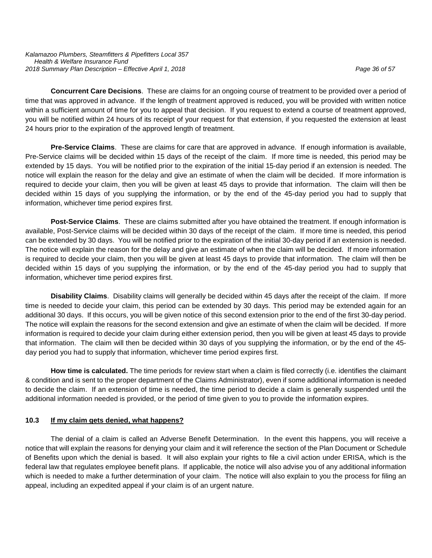*Kalamazoo Plumbers, Steamfitters & Pipefitters Local 357 Health & Welfare Insurance Fund 2018 Summary Plan Description – Effective April 1, 2018 Page 36 of 57*

**Concurrent Care Decisions**. These are claims for an ongoing course of treatment to be provided over a period of time that was approved in advance. If the length of treatment approved is reduced, you will be provided with written notice within a sufficient amount of time for you to appeal that decision. If you request to extend a course of treatment approved, you will be notified within 24 hours of its receipt of your request for that extension, if you requested the extension at least 24 hours prior to the expiration of the approved length of treatment.

**Pre-Service Claims**. These are claims for care that are approved in advance. If enough information is available, Pre-Service claims will be decided within 15 days of the receipt of the claim. If more time is needed, this period may be extended by 15 days. You will be notified prior to the expiration of the initial 15-day period if an extension is needed. The notice will explain the reason for the delay and give an estimate of when the claim will be decided. If more information is required to decide your claim, then you will be given at least 45 days to provide that information. The claim will then be decided within 15 days of you supplying the information, or by the end of the 45-day period you had to supply that information, whichever time period expires first.

**Post-Service Claims**. These are claims submitted after you have obtained the treatment. If enough information is available, Post-Service claims will be decided within 30 days of the receipt of the claim. If more time is needed, this period can be extended by 30 days. You will be notified prior to the expiration of the initial 30-day period if an extension is needed. The notice will explain the reason for the delay and give an estimate of when the claim will be decided. If more information is required to decide your claim, then you will be given at least 45 days to provide that information. The claim will then be decided within 15 days of you supplying the information, or by the end of the 45-day period you had to supply that information, whichever time period expires first.

**Disability Claims**. Disability claims will generally be decided within 45 days after the receipt of the claim. If more time is needed to decide your claim, this period can be extended by 30 days. This period may be extended again for an additional 30 days. If this occurs, you will be given notice of this second extension prior to the end of the first 30-day period. The notice will explain the reasons for the second extension and give an estimate of when the claim will be decided. If more information is required to decide your claim during either extension period, then you will be given at least 45 days to provide that information. The claim will then be decided within 30 days of you supplying the information, or by the end of the 45 day period you had to supply that information, whichever time period expires first.

**How time is calculated.** The time periods for review start when a claim is filed correctly (i.e. identifies the claimant & condition and is sent to the proper department of the Claims Administrator), even if some additional information is needed to decide the claim. If an extension of time is needed, the time period to decide a claim is generally suspended until the additional information needed is provided, or the period of time given to you to provide the information expires.

#### **10.3 If my claim gets denied, what happens?**

The denial of a claim is called an Adverse Benefit Determination. In the event this happens, you will receive a notice that will explain the reasons for denying your claim and it will reference the section of the Plan Document or Schedule of Benefits upon which the denial is based. It will also explain your rights to file a civil action under ERISA, which is the federal law that regulates employee benefit plans. If applicable, the notice will also advise you of any additional information which is needed to make a further determination of your claim. The notice will also explain to you the process for filing an appeal, including an expedited appeal if your claim is of an urgent nature.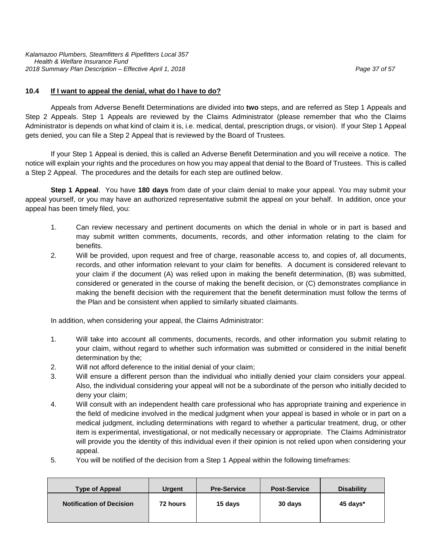#### **10.4 If I want to appeal the denial, what do I have to do?**

Appeals from Adverse Benefit Determinations are divided into **two** steps, and are referred as Step 1 Appeals and Step 2 Appeals. Step 1 Appeals are reviewed by the Claims Administrator (please remember that who the Claims Administrator is depends on what kind of claim it is, i.e. medical, dental, prescription drugs, or vision). If your Step 1 Appeal gets denied, you can file a Step 2 Appeal that is reviewed by the Board of Trustees.

If your Step 1 Appeal is denied, this is called an Adverse Benefit Determination and you will receive a notice. The notice will explain your rights and the procedures on how you may appeal that denial to the Board of Trustees. This is called a Step 2 Appeal. The procedures and the details for each step are outlined below.

**Step 1 Appeal**. You have **180 days** from date of your claim denial to make your appeal. You may submit your appeal yourself, or you may have an authorized representative submit the appeal on your behalf. In addition, once your appeal has been timely filed, you:

- 1. Can review necessary and pertinent documents on which the denial in whole or in part is based and may submit written comments, documents, records, and other information relating to the claim for benefits.
- 2. Will be provided, upon request and free of charge, reasonable access to, and copies of, all documents, records, and other information relevant to your claim for benefits. A document is considered relevant to your claim if the document (A) was relied upon in making the benefit determination, (B) was submitted, considered or generated in the course of making the benefit decision, or (C) demonstrates compliance in making the benefit decision with the requirement that the benefit determination must follow the terms of the Plan and be consistent when applied to similarly situated claimants.

In addition, when considering your appeal, the Claims Administrator:

- 1. Will take into account all comments, documents, records, and other information you submit relating to your claim, without regard to whether such information was submitted or considered in the initial benefit determination by the;
- 2. Will not afford deference to the initial denial of your claim;
- 3. Will ensure a different person than the individual who initially denied your claim considers your appeal. Also, the individual considering your appeal will not be a subordinate of the person who initially decided to deny your claim;
- 4. Will consult with an independent health care professional who has appropriate training and experience in the field of medicine involved in the medical judgment when your appeal is based in whole or in part on a medical judgment, including determinations with regard to whether a particular treatment, drug, or other item is experimental, investigational, or not medically necessary or appropriate. The Claims Administrator will provide you the identity of this individual even if their opinion is not relied upon when considering your appeal.
- 5. You will be notified of the decision from a Step 1 Appeal within the following timeframes:

| <b>Urgent</b> | <b>Pre-Service</b> | <b>Post-Service</b> | <b>Disability</b> |
|---------------|--------------------|---------------------|-------------------|
| 72 hours      | 15 days            | 30 days             | 45 days*          |
|               |                    |                     |                   |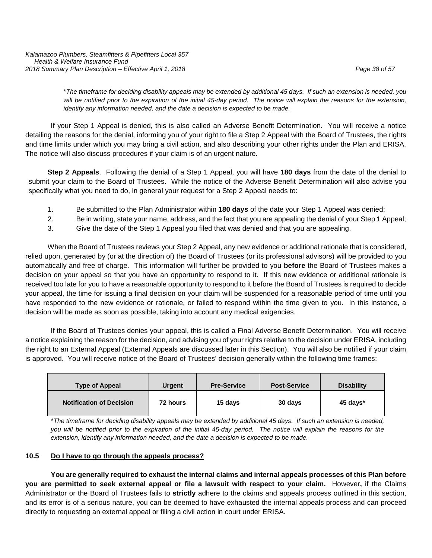\**The timeframe for deciding disability appeals may be extended by additional 45 days. If such an extension is needed, you will be notified prior to the expiration of the initial 45-day period. The notice will explain the reasons for the extension, identify any information needed, and the date a decision is expected to be made.*

If your Step 1 Appeal is denied, this is also called an Adverse Benefit Determination. You will receive a notice detailing the reasons for the denial, informing you of your right to file a Step 2 Appeal with the Board of Trustees, the rights and time limits under which you may bring a civil action, and also describing your other rights under the Plan and ERISA. The notice will also discuss procedures if your claim is of an urgent nature.

**Step 2 Appeals**. Following the denial of a Step 1 Appeal, you will have **180 days** from the date of the denial to submit your claim to the Board of Trustees. While the notice of the Adverse Benefit Determination will also advise you specifically what you need to do, in general your request for a Step 2 Appeal needs to:

- 1. Be submitted to the Plan Administrator within **180 days** of the date your Step 1 Appeal was denied;
- 2. Be in writing, state your name, address, and the fact that you are appealing the denial of your Step 1 Appeal;
- 3. Give the date of the Step 1 Appeal you filed that was denied and that you are appealing.

When the Board of Trustees reviews your Step 2 Appeal, any new evidence or additional rationale that is considered, relied upon, generated by (or at the direction of) the Board of Trustees (or its professional advisors) will be provided to you automatically and free of charge. This information will further be provided to you **before** the Board of Trustees makes a decision on your appeal so that you have an opportunity to respond to it. If this new evidence or additional rationale is received too late for you to have a reasonable opportunity to respond to it before the Board of Trustees is required to decide your appeal, the time for issuing a final decision on your claim will be suspended for a reasonable period of time until you have responded to the new evidence or rationale, or failed to respond within the time given to you. In this instance, a decision will be made as soon as possible, taking into account any medical exigencies.

If the Board of Trustees denies your appeal, this is called a Final Adverse Benefit Determination. You will receive a notice explaining the reason for the decision, and advising you of your rights relative to the decision under ERISA, including the right to an External Appeal (External Appeals are discussed later in this Section). You will also be notified if your claim is approved. You will receive notice of the Board of Trustees' decision generally within the following time frames:

| <b>Type of Appeal</b>           | <b>Urgent</b> | <b>Pre-Service</b> | <b>Post-Service</b> | <b>Disability</b> |
|---------------------------------|---------------|--------------------|---------------------|-------------------|
| <b>Notification of Decision</b> | 72 hours      | 15 days            | 30 days             | 45 days*          |

\**The timeframe for deciding disability appeals may be extended by additional 45 days. If such an extension is needed, you will be notified prior to the expiration of the initial 45-day period. The notice will explain the reasons for the extension, identify any information needed, and the date a decision is expected to be made.*

#### **10.5 Do I have to go through the appeals process?**

**You are generally required to exhaust the internal claims and internal appeals processes of this Plan before you are permitted to seek external appeal or file a lawsuit with respect to your claim.** However**,** if the Claims Administrator or the Board of Trustees fails to **strictly** adhere to the claims and appeals process outlined in this section, and its error is of a serious nature, you can be deemed to have exhausted the internal appeals process and can proceed directly to requesting an external appeal or filing a civil action in court under ERISA.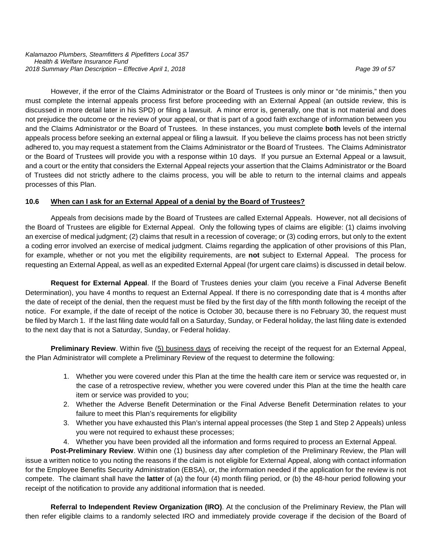However, if the error of the Claims Administrator or the Board of Trustees is only minor or "de minimis," then you must complete the internal appeals process first before proceeding with an External Appeal (an outside review, this is discussed in more detail later in his SPD) or filing a lawsuit. A minor error is, generally, one that is not material and does not prejudice the outcome or the review of your appeal, or that is part of a good faith exchange of information between you and the Claims Administrator or the Board of Trustees. In these instances, you must complete **both** levels of the internal appeals process before seeking an external appeal or filing a lawsuit. If you believe the claims process has not been strictly adhered to, you may request a statement from the Claims Administrator or the Board of Trustees. The Claims Administrator or the Board of Trustees will provide you with a response within 10 days. If you pursue an External Appeal or a lawsuit, and a court or the entity that considers the External Appeal rejects your assertion that the Claims Administrator or the Board of Trustees did not strictly adhere to the claims process, you will be able to return to the internal claims and appeals processes of this Plan.

# **10.6 When can I ask for an External Appeal of a denial by the Board of Trustees?**

Appeals from decisions made by the Board of Trustees are called External Appeals. However, not all decisions of the Board of Trustees are eligible for External Appeal. Only the following types of claims are eligible: (1) claims involving an exercise of medical judgment; (2) claims that result in a recession of coverage; or (3) coding errors, but only to the extent a coding error involved an exercise of medical judgment. Claims regarding the application of other provisions of this Plan, for example, whether or not you met the eligibility requirements, are **not** subject to External Appeal. The process for requesting an External Appeal, as well as an expedited External Appeal (for urgent care claims) is discussed in detail below.

**Request for External Appeal**. If the Board of Trustees denies your claim (you receive a Final Adverse Benefit Determination), you have 4 months to request an External Appeal. If there is no corresponding date that is 4 months after the date of receipt of the denial, then the request must be filed by the first day of the fifth month following the receipt of the notice. For example, if the date of receipt of the notice is October 30, because there is no February 30, the request must be filed by March 1. If the last filing date would fall on a Saturday, Sunday, or Federal holiday, the last filing date is extended to the next day that is not a Saturday, Sunday, or Federal holiday.

**Preliminary Review**. Within five (5) business days of receiving the receipt of the request for an External Appeal, the Plan Administrator will complete a Preliminary Review of the request to determine the following:

- 1. Whether you were covered under this Plan at the time the health care item or service was requested or, in the case of a retrospective review, whether you were covered under this Plan at the time the health care item or service was provided to you;
- 2. Whether the Adverse Benefit Determination or the Final Adverse Benefit Determination relates to your failure to meet this Plan's requirements for eligibility
- 3. Whether you have exhausted this Plan's internal appeal processes (the Step 1 and Step 2 Appeals) unless you were not required to exhaust these processes;
- 4. Whether you have been provided all the information and forms required to process an External Appeal.

**Post-Preliminary Review**. Within one (1) business day after completion of the Preliminary Review, the Plan will issue a written notice to you noting the reasons if the claim is not eligible for External Appeal, along with contact information for the Employee Benefits Security Administration (EBSA), or, the information needed if the application for the review is not compete. The claimant shall have the **latter** of (a) the four (4) month filing period, or (b) the 48-hour period following your receipt of the notification to provide any additional information that is needed.

**Referral to Independent Review Organization (IRO)**. At the conclusion of the Preliminary Review, the Plan will then refer eligible claims to a randomly selected IRO and immediately provide coverage if the decision of the Board of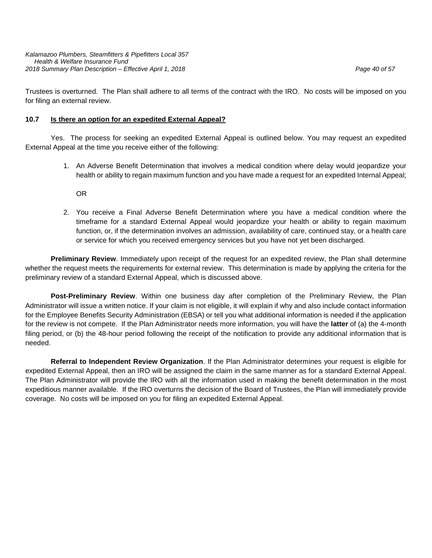Trustees is overturned. The Plan shall adhere to all terms of the contract with the IRO. No costs will be imposed on you for filing an external review.

#### **10.7 Is there an option for an expedited External Appeal?**

Yes. The process for seeking an expedited External Appeal is outlined below. You may request an expedited External Appeal at the time you receive either of the following:

> 1. An Adverse Benefit Determination that involves a medical condition where delay would jeopardize your health or ability to regain maximum function and you have made a request for an expedited Internal Appeal;

OR

2. You receive a Final Adverse Benefit Determination where you have a medical condition where the timeframe for a standard External Appeal would jeopardize your health or ability to regain maximum function, or, if the determination involves an admission, availability of care, continued stay, or a health care or service for which you received emergency services but you have not yet been discharged.

**Preliminary Review**. Immediately upon receipt of the request for an expedited review, the Plan shall determine whether the request meets the requirements for external review. This determination is made by applying the criteria for the preliminary review of a standard External Appeal, which is discussed above.

**Post-Preliminary Review**. Within one business day after completion of the Preliminary Review, the Plan Administrator will issue a written notice. If your claim is not eligible, it will explain if why and also include contact information for the Employee Benefits Security Administration (EBSA) or tell you what additional information is needed if the application for the review is not compete. If the Plan Administrator needs more information, you will have the **latter** of (a) the 4-month filing period, or (b) the 48-hour period following the receipt of the notification to provide any additional information that is needed.

**Referral to Independent Review Organization**. If the Plan Administrator determines your request is eligible for expedited External Appeal, then an IRO will be assigned the claim in the same manner as for a standard External Appeal. The Plan Administrator will provide the IRO with all the information used in making the benefit determination in the most expeditious manner available. If the IRO overturns the decision of the Board of Trustees, the Plan will immediately provide coverage. No costs will be imposed on you for filing an expedited External Appeal.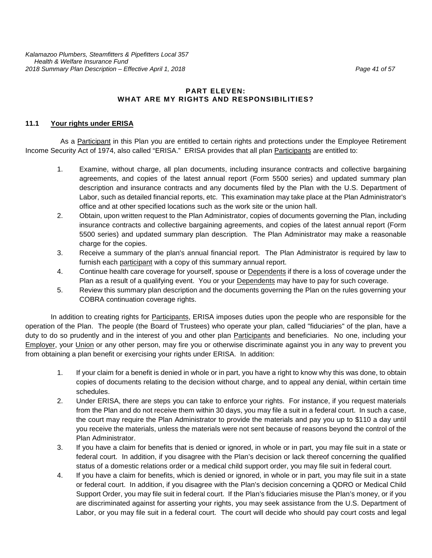#### **PART ELEVEN: WHAT ARE MY RIGHTS AND RESPONSIBILITIES?**

#### **11.1 Your rights under ERISA**

As a Participant in this Plan you are entitled to certain rights and protections under the Employee Retirement Income Security Act of 1974, also called "ERISA." ERISA provides that all plan Participants are entitled to:

- 1. Examine, without charge, all plan documents, including insurance contracts and collective bargaining agreements, and copies of the latest annual report (Form 5500 series) and updated summary plan description and insurance contracts and any documents filed by the Plan with the U.S. Department of Labor, such as detailed financial reports, etc. This examination may take place at the Plan Administrator's office and at other specified locations such as the work site or the union hall.
- 2. Obtain, upon written request to the Plan Administrator, copies of documents governing the Plan, including insurance contracts and collective bargaining agreements, and copies of the latest annual report (Form 5500 series) and updated summary plan description. The Plan Administrator may make a reasonable charge for the copies.
- 3. Receive a summary of the plan's annual financial report. The Plan Administrator is required by law to furnish each participant with a copy of this summary annual report.
- 4. Continue health care coverage for yourself, spouse or Dependents if there is a loss of coverage under the Plan as a result of a qualifying event. You or your Dependents may have to pay for such coverage.
- 5. Review this summary plan description and the documents governing the Plan on the rules governing your COBRA continuation coverage rights.

In addition to creating rights for Participants, ERISA imposes duties upon the people who are responsible for the operation of the Plan. The people (the Board of Trustees) who operate your plan, called "fiduciaries" of the plan, have a duty to do so prudently and in the interest of you and other plan Participants and beneficiaries. No one, including your Employer, your Union or any other person, may fire you or otherwise discriminate against you in any way to prevent you from obtaining a plan benefit or exercising your rights under ERISA. In addition:

- 1. If your claim for a benefit is denied in whole or in part, you have a right to know why this was done, to obtain copies of documents relating to the decision without charge, and to appeal any denial, within certain time schedules.
- 2. Under ERISA, there are steps you can take to enforce your rights. For instance, if you request materials from the Plan and do not receive them within 30 days, you may file a suit in a federal court. In such a case, the court may require the Plan Administrator to provide the materials and pay you up to \$110 a day until you receive the materials, unless the materials were not sent because of reasons beyond the control of the Plan Administrator.
- 3. If you have a claim for benefits that is denied or ignored, in whole or in part, you may file suit in a state or federal court. In addition, if you disagree with the Plan's decision or lack thereof concerning the qualified status of a domestic relations order or a medical child support order, you may file suit in federal court.
- 4. If you have a claim for benefits, which is denied or ignored, in whole or in part, you may file suit in a state or federal court. In addition, if you disagree with the Plan's decision concerning a QDRO or Medical Child Support Order, you may file suit in federal court. If the Plan's fiduciaries misuse the Plan's money, or if you are discriminated against for asserting your rights, you may seek assistance from the U.S. Department of Labor, or you may file suit in a federal court. The court will decide who should pay court costs and legal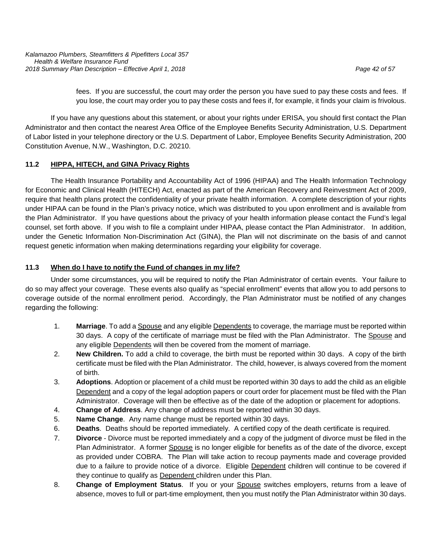fees. If you are successful, the court may order the person you have sued to pay these costs and fees. If you lose, the court may order you to pay these costs and fees if, for example, it finds your claim is frivolous.

If you have any questions about this statement, or about your rights under ERISA, you should first contact the Plan Administrator and then contact the nearest Area Office of the Employee Benefits Security Administration, U.S. Department of Labor listed in your telephone directory or the U.S. Department of Labor, Employee Benefits Security Administration, 200 Constitution Avenue, N.W., Washington, D.C. 20210.

# **11.2 HIPPA, HITECH, and GINA Privacy Rights**

The Health Insurance Portability and Accountability Act of 1996 (HIPAA) and The Health Information Technology for Economic and Clinical Health (HITECH) Act, enacted as part of the American Recovery and Reinvestment Act of 2009, require that health plans protect the confidentiality of your private health information. A complete description of your rights under HIPAA can be found in the Plan's privacy notice, which was distributed to you upon enrollment and is available from the Plan Administrator. If you have questions about the privacy of your health information please contact the Fund's legal counsel, set forth above. If you wish to file a complaint under HIPAA, please contact the Plan Administrator. In addition, under the Genetic Information Non-Discrimination Act (GINA), the Plan will not discriminate on the basis of and cannot request genetic information when making determinations regarding your eligibility for coverage.

# **11.3 When do I have to notify the Fund of changes in my life?**

Under some circumstances, you will be required to notify the Plan Administrator of certain events. Your failure to do so may affect your coverage. These events also qualify as "special enrollment" events that allow you to add persons to coverage outside of the normal enrollment period. Accordingly, the Plan Administrator must be notified of any changes regarding the following:

- 1. **Marriage**. To add a Spouse and any eligible Dependents to coverage, the marriage must be reported within 30 days. A copy of the certificate of marriage must be filed with the Plan Administrator. The Spouse and any eligible Dependents will then be covered from the moment of marriage.
- 2. **New Children.** To add a child to coverage, the birth must be reported within 30 days. A copy of the birth certificate must be filed with the Plan Administrator. The child, however, is always covered from the moment of birth.
- 3. **Adoptions**. Adoption or placement of a child must be reported within 30 days to add the child as an eligible Dependent and a copy of the legal adoption papers or court order for placement must be filed with the Plan Administrator. Coverage will then be effective as of the date of the adoption or placement for adoptions.
- 4. **Change of Address**. Any change of address must be reported within 30 days.
- 5. **Name Change**. Any name change must be reported within 30 days.
- 6. **Deaths**. Deaths should be reported immediately. A certified copy of the death certificate is required.
- 7. **Divorce** Divorce must be reported immediately and a copy of the judgment of divorce must be filed in the Plan Administrator. A former Spouse is no longer eligible for benefits as of the date of the divorce, except as provided under COBRA. The Plan will take action to recoup payments made and coverage provided due to a failure to provide notice of a divorce. Eligible Dependent children will continue to be covered if they continue to qualify as Dependent children under this Plan.
- 8. **Change of Employment Status**. If you or your Spouse switches employers, returns from a leave of absence, moves to full or part-time employment, then you must notify the Plan Administrator within 30 days.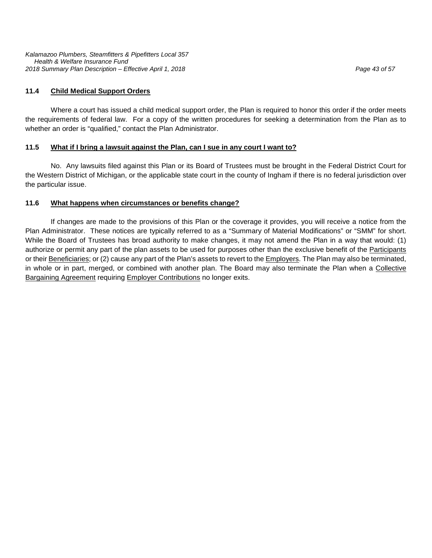#### **11.4 Child Medical Support Orders**

Where a court has issued a child medical support order, the Plan is required to honor this order if the order meets the requirements of federal law. For a copy of the written procedures for seeking a determination from the Plan as to whether an order is "qualified," contact the Plan Administrator.

#### **11.5 What if I bring a lawsuit against the Plan, can I sue in any court I want to?**

No. Any lawsuits filed against this Plan or its Board of Trustees must be brought in the Federal District Court for the Western District of Michigan, or the applicable state court in the county of Ingham if there is no federal jurisdiction over the particular issue.

#### **11.6 What happens when circumstances or benefits change?**

If changes are made to the provisions of this Plan or the coverage it provides, you will receive a notice from the Plan Administrator. These notices are typically referred to as a "Summary of Material Modifications" or "SMM" for short. While the Board of Trustees has broad authority to make changes, it may not amend the Plan in a way that would: (1) authorize or permit any part of the plan assets to be used for purposes other than the exclusive benefit of the Participants or their Beneficiaries; or (2) cause any part of the Plan's assets to revert to the *Employers*. The Plan may also be terminated, in whole or in part, merged, or combined with another plan. The Board may also terminate the Plan when a Collective **Bargaining Agreement requiring Employer Contributions no longer exits.**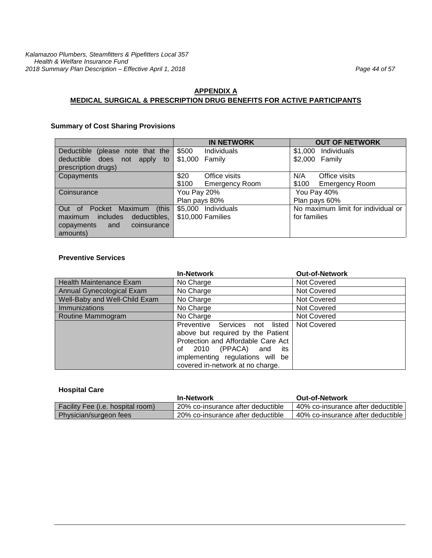# **APPENDIX A MEDICAL SURGICAL & PRESCRIPTION DRUG BENEFITS FOR ACTIVE PARTICIPANTS**

# **Summary of Cost Sharing Provisions**

|                                  | <b>IN NETWORK</b>              | <b>OUT OF NETWORK</b>              |
|----------------------------------|--------------------------------|------------------------------------|
| Deductible (please note that the | \$500<br>Individuals           | Individuals<br>\$1,000             |
| deductible does not apply to     | \$1,000 Family                 | \$2,000 Family                     |
| prescription drugs)              |                                |                                    |
| Copayments                       | \$20<br>Office visits          | N/A<br>Office visits               |
|                                  | \$100<br><b>Emergency Room</b> | \$100<br><b>Emergency Room</b>     |
| Coinsurance                      | You Pay 20%                    | You Pay 40%                        |
|                                  | Plan pays 80%                  | Plan pays 60%                      |
| Out of Pocket Maximum (this      | \$5,000 Individuals            | No maximum limit for individual or |
| maximum includes<br>deductibles, | \$10,000 Families              | for families                       |
| coinsurance<br>and<br>copayments |                                |                                    |
| amounts)                         |                                |                                    |

#### **Preventive Services**

|                                | <b>In-Network</b>                                                                                                                                                                                               | <b>Out-of-Network</b> |
|--------------------------------|-----------------------------------------------------------------------------------------------------------------------------------------------------------------------------------------------------------------|-----------------------|
| <b>Health Maintenance Exam</b> | No Charge                                                                                                                                                                                                       | Not Covered           |
| Annual Gynecological Exam      | No Charge                                                                                                                                                                                                       | Not Covered           |
| Well-Baby and Well-Child Exam  | No Charge                                                                                                                                                                                                       | Not Covered           |
| <b>Immunizations</b>           | No Charge                                                                                                                                                                                                       | Not Covered           |
| Routine Mammogram              | No Charge                                                                                                                                                                                                       | Not Covered           |
|                                | Preventive Services not listed<br>above but required by the Patient<br>Protection and Affordable Care Act<br>2010 (PPACA) and its<br>οf<br>implementing regulations will be<br>covered in-network at no charge. | Not Covered           |

#### **Hospital Care**

|                                          | <b>In-Network</b>                 | <b>Out-of-Network</b>               |
|------------------------------------------|-----------------------------------|-------------------------------------|
| <b>Facility Fee (i.e. hospital room)</b> | 20% co-insurance after deductible | 40% co-insurance after deductible l |
| Physician/surgeon fees                   | 20% co-insurance after deductible | 40% co-insurance after deductible l |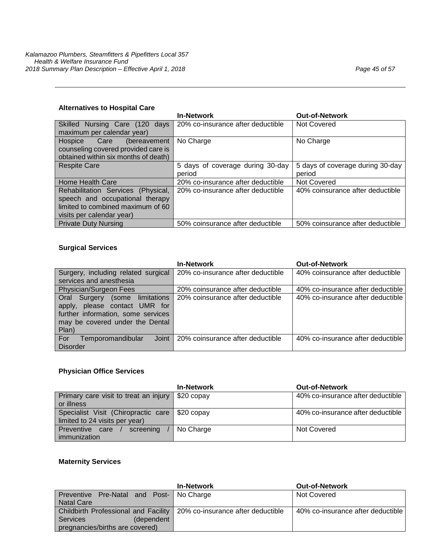|                                      | <b>In-Network</b>                 | <b>Out-of-Network</b>            |
|--------------------------------------|-----------------------------------|----------------------------------|
| Skilled Nursing Care (120 days       | 20% co-insurance after deductible | Not Covered                      |
| maximum per calendar year)           |                                   |                                  |
| Hospice Care<br>(bereavement         | No Charge                         | No Charge                        |
| counseling covered provided care is  |                                   |                                  |
| obtained within six months of death) |                                   |                                  |
| <b>Respite Care</b>                  | 5 days of coverage during 30-day  | 5 days of coverage during 30-day |
|                                      | period                            | period                           |
| Home Health Care                     | 20% co-insurance after deductible | Not Covered                      |
| Rehabilitation Services (Physical.   | 20% co-insurance after deductible | 40% coinsurance after deductible |
| speech and occupational therapy      |                                   |                                  |
| limited to combined maximum of 60    |                                   |                                  |
| visits per calendar year)            |                                   |                                  |
| <b>Private Duty Nursing</b>          | 50% coinsurance after deductible  | 50% coinsurance after deductible |

#### **Surgical Services**

|                                                                                                                                                   | <b>In-Network</b>                 | <b>Out-of-Network</b>             |
|---------------------------------------------------------------------------------------------------------------------------------------------------|-----------------------------------|-----------------------------------|
| Surgery, including related surgical                                                                                                               | 20% co-insurance after deductible | 40% coinsurance after deductible  |
| services and anesthesia                                                                                                                           |                                   |                                   |
| Physician/Surgeon Fees                                                                                                                            | 20% coinsurance after deductible  | 40% co-insurance after deductible |
| Oral Surgery (some limitations<br>apply, please contact UMR for<br>further information, some services<br>may be covered under the Dental<br>Plan) | 20% coinsurance after deductible  | 40% co-insurance after deductible |
| Joint<br>For<br>Temporomandibular                                                                                                                 | 20% coinsurance after deductible  | 40% co-insurance after deductible |
| Disorder                                                                                                                                          |                                   |                                   |

# **Physician Office Services**

|                                                | <b>In-Network</b> | <b>Out-of-Network</b>             |
|------------------------------------------------|-------------------|-----------------------------------|
| Primary care visit to treat an injury          | $$20$ copay       | 40% co-insurance after deductible |
| or illness                                     |                   |                                   |
| Specialist Visit (Chiropractic care \$20 copay |                   | 40% co-insurance after deductible |
| limited to 24 visits per year)                 |                   |                                   |
| Preventive care<br>screening                   | No Charge         | Not Covered                       |
| immunization                                   |                   |                                   |

# **Maternity Services**

|                                                                          | <b>In-Network</b> | <b>Out-of-Network</b>             |
|--------------------------------------------------------------------------|-------------------|-----------------------------------|
| Preventive Pre-Natal and Post-   No Charge                               |                   | Not Covered                       |
| <b>Natal Care</b>                                                        |                   |                                   |
| Childbirth Professional and Facility   20% co-insurance after deductible |                   | 40% co-insurance after deductible |
| <b>Services</b><br>(dependent                                            |                   |                                   |
| pregnancies/births are covered)                                          |                   |                                   |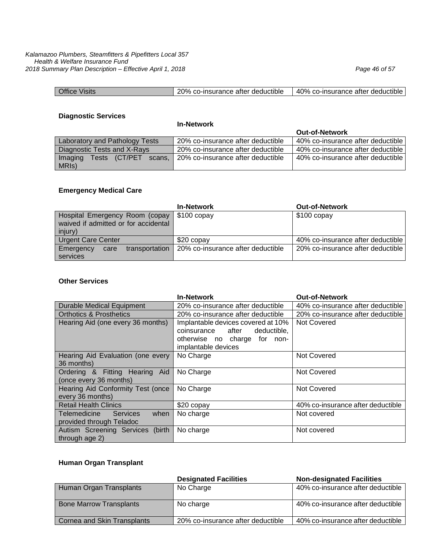| <b>Office Visits</b> | 20% co-insurance after deductible | 40% co-insurance after deductible |
|----------------------|-----------------------------------|-----------------------------------|
|                      |                                   |                                   |

#### **Diagnostic Services**

**In-Network**

|                                       | <b>III-NELWOLK</b>                |                                   |
|---------------------------------------|-----------------------------------|-----------------------------------|
|                                       |                                   | <b>Out-of-Network</b>             |
| <b>Laboratory and Pathology Tests</b> | 20% co-insurance after deductible | 40% co-insurance after deductible |
| Diagnostic Tests and X-Rays           | 20% co-insurance after deductible | 40% co-insurance after deductible |
| Imaging<br>Tests (CT/PET)<br>scans.   | 20% co-insurance after deductible | 40% co-insurance after deductible |
| MRIS)                                 |                                   |                                   |

### **Emergency Medical Care**

|                                                                                   | <b>In-Network</b>                 | <b>Out-of-Network</b>             |
|-----------------------------------------------------------------------------------|-----------------------------------|-----------------------------------|
| Hospital Emergency Room (copay<br>waived if admitted or for accidental<br>injury) | $$100$ copay                      | $$100$ copay                      |
| <b>Urgent Care Center</b>                                                         | \$20 copay                        | 40% co-insurance after deductible |
| Emergency<br>transportation<br>care<br>services                                   | 20% co-insurance after deductible | 20% co-insurance after deductible |

#### **Other Services**

|                                         | <b>In-Network</b>                   | <b>Out-of-Network</b>             |
|-----------------------------------------|-------------------------------------|-----------------------------------|
| <b>Durable Medical Equipment</b>        | 20% co-insurance after deductible   | 40% co-insurance after deductible |
| <b>Orthotics &amp; Prosthetics</b>      | 20% co-insurance after deductible   | 20% co-insurance after deductible |
| Hearing Aid (one every 36 months)       | Implantable devices covered at 10%  | Not Covered                       |
|                                         | deductible,<br>coinsurance<br>after |                                   |
|                                         | otherwise no charge for non-        |                                   |
|                                         | implantable devices                 |                                   |
| Hearing Aid Evaluation (one every       | No Charge                           | Not Covered                       |
| 36 months)                              |                                     |                                   |
| Ordering & Fitting Hearing Aid          | No Charge                           | Not Covered                       |
| (once every 36 months)                  |                                     |                                   |
| Hearing Aid Conformity Test (once       | No Charge                           | Not Covered                       |
| every 36 months)                        |                                     |                                   |
| <b>Retail Health Clinics</b>            | \$20 copay                          | 40% co-insurance after deductible |
| Telemedicine<br><b>Services</b><br>when | No charge                           | Not covered                       |
| provided through Teladoc                |                                     |                                   |
| Autism Screening Services (birth        | No charge                           | Not covered                       |
| through age 2)                          |                                     |                                   |

# **Human Organ Transplant**

|                                | <b>Designated Facilities</b>      | <b>Non-designated Facilities</b>  |
|--------------------------------|-----------------------------------|-----------------------------------|
| Human Organ Transplants        | No Charge                         | 40% co-insurance after deductible |
| <b>Bone Marrow Transplants</b> | No charge                         | 40% co-insurance after deductible |
| Cornea and Skin Transplants    | 20% co-insurance after deductible | 40% co-insurance after deductible |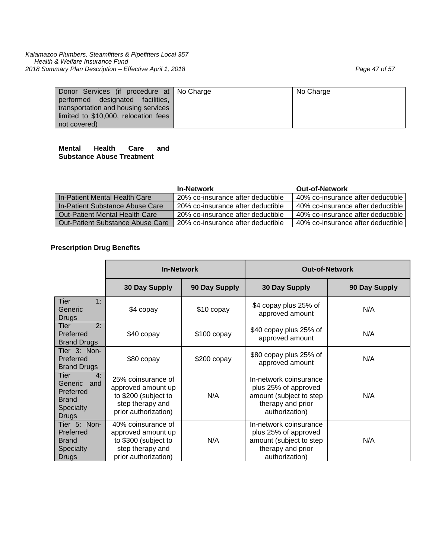| Donor Services (if procedure at No Charge | No Charge |
|-------------------------------------------|-----------|
| performed designated facilities,          |           |
| transportation and housing services       |           |
| limited to \$10,000, relocation fees      |           |
| not covered)                              |           |

#### **Mental Health Care and Substance Abuse Treatment**

|                                   | <b>In-Network</b>                 | <b>Out-of-Network</b>             |
|-----------------------------------|-----------------------------------|-----------------------------------|
| I In-Patient Mental Health Care   | 20% co-insurance after deductible | 40% co-insurance after deductible |
| l In-Patient Substance Abuse Care | 20% co-insurance after deductible | 40% co-insurance after deductible |
| Out-Patient Mental Health Care    | 20% co-insurance after deductible | 40% co-insurance after deductible |
| Out-Patient Substance Abuse Care  | 20% co-insurance after deductible | 40% co-insurance after deductible |

# **Prescription Drug Benefits**

|                                                                                        | <b>In-Network</b>                                                                                            |               | <b>Out-of-Network</b>                                                                                            |               |
|----------------------------------------------------------------------------------------|--------------------------------------------------------------------------------------------------------------|---------------|------------------------------------------------------------------------------------------------------------------|---------------|
|                                                                                        | 30 Day Supply                                                                                                | 90 Day Supply | 30 Day Supply                                                                                                    | 90 Day Supply |
| 1:<br>Tier<br>Generic<br><b>Drugs</b>                                                  | \$4 copay                                                                                                    | \$10 copay    | \$4 copay plus 25% of<br>approved amount                                                                         | N/A           |
| 2:<br>Tier<br>Preferred<br><b>Brand Drugs</b>                                          | \$40 copay                                                                                                   | $$100$ copay  | \$40 copay plus 25% of<br>approved amount                                                                        | N/A           |
| Tier 3: Non-<br>Preferred<br><b>Brand Drugs</b>                                        | \$80 copay                                                                                                   | $$200$ copay  | \$80 copay plus 25% of<br>approved amount                                                                        | N/A           |
| 4:<br>Tier<br>Generic<br>and<br>Preferred<br><b>Brand</b><br><b>Specialty</b><br>Drugs | 25% coinsurance of<br>approved amount up<br>to \$200 (subject to<br>step therapy and<br>prior authorization) | N/A           | In-network coinsurance<br>plus 25% of approved<br>amount (subject to step<br>therapy and prior<br>authorization) | N/A           |
| Tier 5: Non-<br>Preferred<br><b>Brand</b><br><b>Specialty</b><br><b>Drugs</b>          | 40% coinsurance of<br>approved amount up<br>to \$300 (subject to<br>step therapy and<br>prior authorization) | N/A           | In-network coinsurance<br>plus 25% of approved<br>amount (subject to step<br>therapy and prior<br>authorization) | N/A           |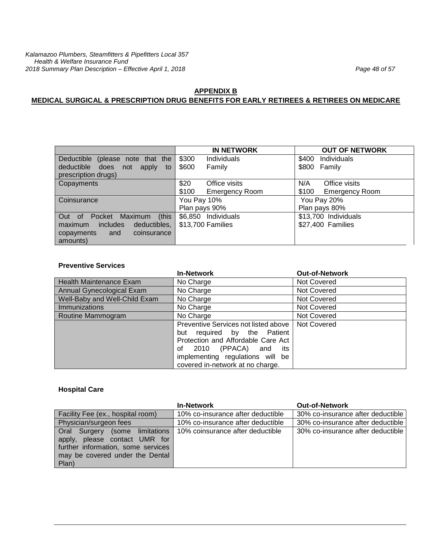# **APPENDIX B**

# **MEDICAL SURGICAL & PRESCRIPTION DRUG BENEFITS FOR EARLY RETIREES & RETIREES ON MEDICARE**

|                                          | <b>IN NETWORK</b>              | <b>OUT OF NETWORK</b>          |
|------------------------------------------|--------------------------------|--------------------------------|
| Deductible (please note that the         | \$300<br><b>Individuals</b>    | Individuals<br>\$400           |
| deductible<br>does<br>not<br>apply<br>to | \$600<br>Family                | \$800 Family                   |
| prescription drugs)                      |                                |                                |
| Copayments                               | Office visits<br>\$20          | Office visits<br>N/A           |
|                                          | \$100<br><b>Emergency Room</b> | \$100<br><b>Emergency Room</b> |
| Coinsurance                              | You Pay 10%                    | You Pay 20%                    |
|                                          | Plan pays 90%                  | Plan pays 80%                  |
| (this<br>Out of Pocket Maximum           | \$6,850 Individuals            | \$13,700 Individuals           |
| includes<br>deductibles,<br>maximum      | \$13,700 Families              | \$27,400 Families              |
| coinsurance<br>copayments<br>and         |                                |                                |
| amounts)                                 |                                |                                |

#### **Preventive Services**

|                                | <b>In-Network</b>                                                                                                                                                              | <b>Out-of-Network</b> |
|--------------------------------|--------------------------------------------------------------------------------------------------------------------------------------------------------------------------------|-----------------------|
| <b>Health Maintenance Exam</b> | No Charge                                                                                                                                                                      | Not Covered           |
| Annual Gynecological Exam      | No Charge                                                                                                                                                                      | Not Covered           |
| Well-Baby and Well-Child Exam  | No Charge                                                                                                                                                                      | Not Covered           |
| Immunizations                  | No Charge                                                                                                                                                                      | Not Covered           |
| Routine Mammogram              | No Charge                                                                                                                                                                      | Not Covered           |
|                                | Preventive Services not listed above<br>but required by the Patient<br>Protection and Affordable Care Act<br>2010 (PPACA) and<br>its<br>οf<br>implementing regulations will be | Not Covered           |
|                                | covered in-network at no charge.                                                                                                                                               |                       |

#### **Hospital Care**

|                                                                                                                                                            | <b>In-Network</b>                 | <b>Out-of-Network</b>             |
|------------------------------------------------------------------------------------------------------------------------------------------------------------|-----------------------------------|-----------------------------------|
| Facility Fee (ex., hospital room)                                                                                                                          | 10% co-insurance after deductible | 30% co-insurance after deductible |
| Physician/surgeon fees                                                                                                                                     | 10% co-insurance after deductible | 30% co-insurance after deductible |
| <b>Oral Surgery (some limitations )</b><br>apply, please contact UMR for<br>further information, some services<br>may be covered under the Dental<br>Plan) | 10% coinsurance after deductible  | 30% co-insurance after deductible |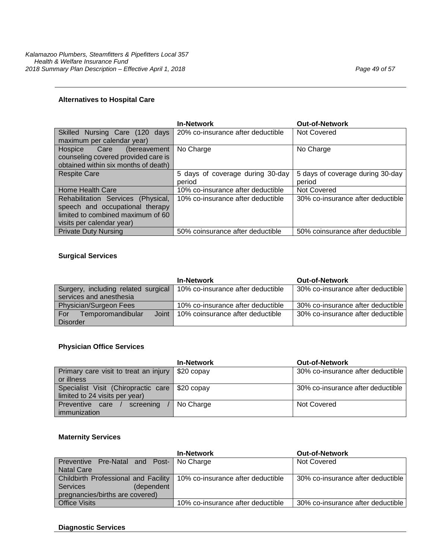|                                          | <b>In-Network</b>                 | <b>Out-of-Network</b>             |  |
|------------------------------------------|-----------------------------------|-----------------------------------|--|
| <b>Skilled</b><br>Nursing Care (120 days | 20% co-insurance after deductible | Not Covered                       |  |
| maximum per calendar year)               |                                   |                                   |  |
| Hospice Care<br>(bereavement             | No Charge                         | No Charge                         |  |
| counseling covered provided care is      |                                   |                                   |  |
| obtained within six months of death)     |                                   |                                   |  |
| <b>Respite Care</b>                      | 5 days of coverage during 30-day  | 5 days of coverage during 30-day  |  |
|                                          | period                            | period                            |  |
| Home Health Care                         | 10% co-insurance after deductible | <b>Not Covered</b>                |  |
| Rehabilitation Services (Physical,       | 10% co-insurance after deductible | 30% co-insurance after deductible |  |
| speech and occupational therapy          |                                   |                                   |  |
| limited to combined maximum of 60        |                                   |                                   |  |
| visits per calendar year)                |                                   |                                   |  |
| <b>Private Duty Nursing</b>              | 50% coinsurance after deductible  | 50% coinsurance after deductible  |  |

# **Surgical Services**

|                                     | <b>In-Network</b>                 | <b>Out-of-Network</b>             |
|-------------------------------------|-----------------------------------|-----------------------------------|
| Surgery, including related surgical | 10% co-insurance after deductible | 30% co-insurance after deductible |
| services and anesthesia             |                                   |                                   |
| Physician/Surgeon Fees              | 10% co-insurance after deductible | 30% co-insurance after deductible |
| Joint<br>Temporomandibular<br>For   | 10% coinsurance after deductible  | 30% co-insurance after deductible |
| Disorder                            |                                   |                                   |

#### **Physician Office Services**

|                                                  | <b>In-Network</b> | <b>Out-of-Network</b>             |
|--------------------------------------------------|-------------------|-----------------------------------|
| Primary care visit to treat an injury            | $$20$ copay       | 30% co-insurance after deductible |
| or illness                                       |                   |                                   |
| Specialist Visit (Chiropractic care   \$20 copay |                   | 30% co-insurance after deductible |
| limited to 24 visits per year)                   |                   |                                   |
| <b>Preventive care</b><br>screening              | No Charge         | Not Covered                       |
| immunization                                     |                   |                                   |

# **Maternity Services**

|                                             | <b>In-Network</b>                 | <b>Out-of-Network</b>             |  |
|---------------------------------------------|-----------------------------------|-----------------------------------|--|
| Preventive Pre-Natal and Post- No Charge    |                                   | Not Covered                       |  |
| Natal Care                                  |                                   |                                   |  |
| <b>Childbirth Professional and Facility</b> | 10% co-insurance after deductible | 30% co-insurance after deductible |  |
| l Services<br>(dependent                    |                                   |                                   |  |
| pregnancies/births are covered)             |                                   |                                   |  |
| <b>Office Visits</b>                        | 10% co-insurance after deductible | 30% co-insurance after deductible |  |

#### **Diagnostic Services**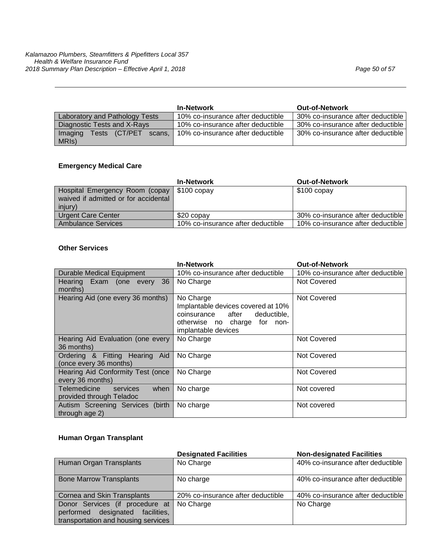| <b>In-Network</b>                   |                                   | <b>Out-of-Network</b>             |
|-------------------------------------|-----------------------------------|-----------------------------------|
| Laboratory and Pathology Tests      | 10% co-insurance after deductible | 30% co-insurance after deductible |
| Diagnostic Tests and X-Rays         | 10% co-insurance after deductible | 30% co-insurance after deductible |
| Tests (CT/PET)<br>Imaging<br>scans. | 10% co-insurance after deductible | 30% co-insurance after deductible |
| MRIS)                               |                                   |                                   |

# **Emergency Medical Care**

|                                                                                                 | <b>In-Network</b>                 | <b>Out-of-Network</b>             |
|-------------------------------------------------------------------------------------------------|-----------------------------------|-----------------------------------|
| Hospital Emergency Room (copay   \$100 copay<br>waived if admitted or for accidental<br>injury) |                                   | $$100$ copay                      |
| <b>Urgent Care Center</b>                                                                       | \$20 copay                        | 30% co-insurance after deductible |
| <b>Ambulance Services</b>                                                                       | 10% co-insurance after deductible | 10% co-insurance after deductible |

#### **Other Services**

|                                                              | <b>In-Network</b>                                                                                                                             | <b>Out-of-Network</b>             |  |
|--------------------------------------------------------------|-----------------------------------------------------------------------------------------------------------------------------------------------|-----------------------------------|--|
| <b>Durable Medical Equipment</b>                             | 10% co-insurance after deductible                                                                                                             | 10% co-insurance after deductible |  |
| 36<br>Hearing Exam (one every<br>months)                     | No Charge                                                                                                                                     | Not Covered                       |  |
| Hearing Aid (one every 36 months)                            | No Charge<br>Implantable devices covered at 10%<br>coinsurance<br>deductible,<br>after<br>otherwise no charge for non-<br>implantable devices | <b>Not Covered</b>                |  |
| Hearing Aid Evaluation (one every<br>36 months)              | No Charge                                                                                                                                     | Not Covered                       |  |
| Ordering & Fitting Hearing Aid<br>(once every 36 months)     | No Charge                                                                                                                                     | Not Covered                       |  |
| Hearing Aid Conformity Test (once<br>every 36 months)        | No Charge                                                                                                                                     | Not Covered                       |  |
| Telemedicine<br>services<br>when<br>provided through Teladoc | No charge                                                                                                                                     | Not covered                       |  |
| Autism Screening Services (birth<br>through age 2)           | No charge                                                                                                                                     | Not covered                       |  |

# **Human Organ Transplant**

|                                     | <b>Designated Facilities</b>      | <b>Non-designated Facilities</b>  |
|-------------------------------------|-----------------------------------|-----------------------------------|
| Human Organ Transplants             | No Charge                         | 40% co-insurance after deductible |
|                                     |                                   |                                   |
| <b>Bone Marrow Transplants</b>      | No charge                         | 40% co-insurance after deductible |
|                                     |                                   |                                   |
| <b>Cornea and Skin Transplants</b>  | 20% co-insurance after deductible | 40% co-insurance after deductible |
| Donor Services (if procedure at     | No Charge                         | No Charge                         |
| performed designated<br>facilities, |                                   |                                   |
| transportation and housing services |                                   |                                   |
|                                     |                                   |                                   |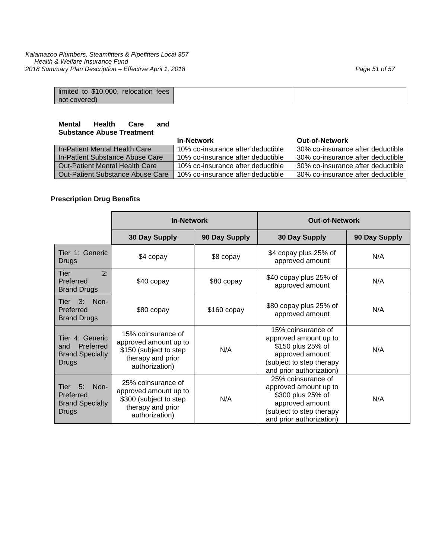| limited to \$10,000, relocation fees |  |
|--------------------------------------|--|
| not covered)                         |  |

#### **Mental Health Care and Substance Abuse Treatment**

|                                       | <b>In-Network</b>                 | <b>Out-of-Network</b>             |
|---------------------------------------|-----------------------------------|-----------------------------------|
| In-Patient Mental Health Care         | 10% co-insurance after deductible | 30% co-insurance after deductible |
| In-Patient Substance Abuse Care       | 10% co-insurance after deductible | 30% co-insurance after deductible |
| <b>Out-Patient Mental Health Care</b> | 10% co-insurance after deductible | 30% co-insurance after deductible |
| Out-Patient Substance Abuse Care      | 10% co-insurance after deductible | 30% co-insurance after deductible |

# **Prescription Drug Benefits**

|                                                                        | <b>In-Network</b>                                                                                            |               | <b>Out-of-Network</b>                                                                                                                       |               |
|------------------------------------------------------------------------|--------------------------------------------------------------------------------------------------------------|---------------|---------------------------------------------------------------------------------------------------------------------------------------------|---------------|
|                                                                        | 30 Day Supply                                                                                                | 90 Day Supply | 30 Day Supply                                                                                                                               | 90 Day Supply |
| Tier 1: Generic<br>Drugs                                               | \$4 copay                                                                                                    | \$8 copay     | \$4 copay plus 25% of<br>approved amount                                                                                                    | N/A           |
| 2:<br>Tier<br>Preferred<br><b>Brand Drugs</b>                          | \$40 copay                                                                                                   | \$80 copay    | \$40 copay plus 25% of<br>approved amount                                                                                                   | N/A           |
| 3:<br>Non-<br>Tier<br>Preferred<br><b>Brand Drugs</b>                  | \$80 copay                                                                                                   | $$160$ copay  | \$80 copay plus 25% of<br>approved amount                                                                                                   | N/A           |
| Tier 4: Generic<br>Preferred<br>and<br><b>Brand Specialty</b><br>Drugs | 15% coinsurance of<br>approved amount up to<br>\$150 (subject to step<br>therapy and prior<br>authorization) | N/A           | 15% coinsurance of<br>approved amount up to<br>\$150 plus 25% of<br>approved amount<br>(subject to step therapy<br>and prior authorization) | N/A           |
| 5:<br>Non-<br>Tier<br>Preferred<br><b>Brand Specialty</b><br>Drugs     | 25% coinsurance of<br>approved amount up to<br>\$300 (subject to step<br>therapy and prior<br>authorization) | N/A           | 25% coinsurance of<br>approved amount up to<br>\$300 plus 25% of<br>approved amount<br>(subject to step therapy<br>and prior authorization) | N/A           |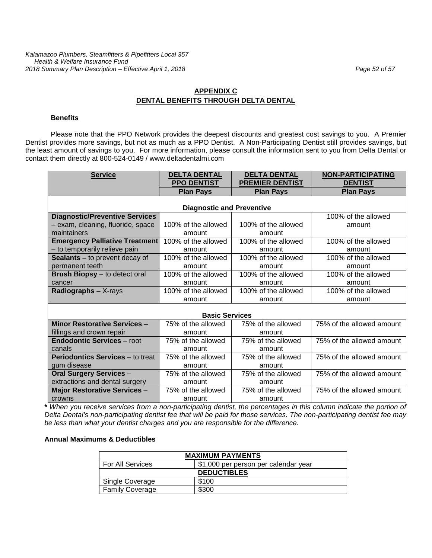# **APPENDIX C DENTAL BENEFITS THROUGH DELTA DENTAL**

#### **Benefits**

Please note that the PPO Network provides the deepest discounts and greatest cost savings to you. A Premier Dentist provides more savings, but not as much as a PPO Dentist. A Non-Participating Dentist still provides savings, but the least amount of savings to you. For more information, please consult the information sent to you from Delta Dental or contact them directly at 800-524-0149 / www.deltadentalmi.com

| <b>Service</b>                          | <b>DELTA DENTAL</b>              | <b>DELTA DENTAL</b>    | <b>NON-PARTICIPATING</b>  |
|-----------------------------------------|----------------------------------|------------------------|---------------------------|
|                                         | <b>PPO DENTIST</b>               | <b>PREMIER DENTIST</b> | <b>DENTIST</b>            |
|                                         | <b>Plan Pays</b>                 | <b>Plan Pays</b>       | <b>Plan Pays</b>          |
|                                         |                                  |                        |                           |
|                                         | <b>Diagnostic and Preventive</b> |                        |                           |
| <b>Diagnostic/Preventive Services</b>   |                                  |                        | 100% of the allowed       |
| - exam, cleaning, fluoride, space       | 100% of the allowed              | 100% of the allowed    | amount                    |
| maintainers                             | amount                           | amount                 |                           |
| <b>Emergency Palliative Treatment</b>   | 100% of the allowed              | 100% of the allowed    | 100% of the allowed       |
| - to temporarily relieve pain           | amount                           | amount                 | amount                    |
| <b>Sealants</b> $-$ to prevent decay of | 100% of the allowed              | 100% of the allowed    | 100% of the allowed       |
| permanent teeth                         | amount                           | amount                 | amount                    |
| <b>Brush Biopsy</b> – to detect oral    | 100% of the allowed              | 100% of the allowed    | 100% of the allowed       |
| cancer                                  | amount                           | amount                 | amount                    |
| Radiographs $- X$ -rays                 | 100% of the allowed              | 100% of the allowed    | 100% of the allowed       |
|                                         | amount                           | amount                 | amount                    |
|                                         |                                  |                        |                           |
|                                         | <b>Basic Services</b>            |                        |                           |
| <b>Minor Restorative Services -</b>     | 75% of the allowed               | 75% of the allowed     | 75% of the allowed amount |
| fillings and crown repair               | amount                           | amount                 |                           |
| <b>Endodontic Services - root</b>       | 75% of the allowed               | 75% of the allowed     | 75% of the allowed amount |
| canals                                  | amount                           | amount                 |                           |
| <b>Periodontics Services</b> – to treat | 75% of the allowed               | 75% of the allowed     | 75% of the allowed amount |
| gum disease                             | amount                           | amount                 |                           |
| <b>Oral Surgery Services -</b>          | 75% of the allowed               | 75% of the allowed     | 75% of the allowed amount |
| extractions and dental surgery          | amount                           | amount                 |                           |
| <b>Major Restorative Services -</b>     | 75% of the allowed               | 75% of the allowed     | 75% of the allowed amount |
| crowns                                  | amount                           | amount                 |                           |

**\*** *When you receive services from a non-participating dentist, the percentages in this column indicate the portion of Delta Dental's non-participating dentist fee that will be paid for those services. The non-participating dentist fee may be less than what your dentist charges and you are responsible for the difference.*

#### **Annual Maximums & Deductibles**

| <b>MAXIMUM PAYMENTS</b> |                                      |  |
|-------------------------|--------------------------------------|--|
| For All Services        | \$1,000 per person per calendar year |  |
| <b>DEDUCTIBLES</b>      |                                      |  |
| Single Coverage         | \$100                                |  |
| <b>Family Coverage</b>  | \$300                                |  |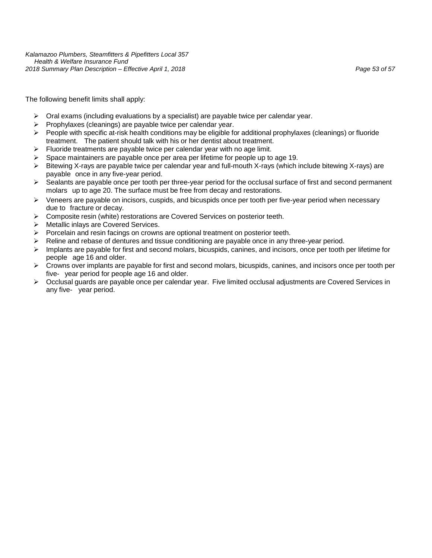The following benefit limits shall apply:

- $\triangleright$  Oral exams (including evaluations by a specialist) are payable twice per calendar year.
- $\triangleright$  Prophylaxes (cleanings) are payable twice per calendar year.
- People with specific at-risk health conditions may be eligible for additional prophylaxes (cleanings) or fluoride treatment. The patient should talk with his or her dentist about treatment.
- $\triangleright$  Fluoride treatments are payable twice per calendar year with no age limit.
- $\triangleright$  Space maintainers are payable once per area per lifetime for people up to age 19.
- $\triangleright$  Bitewing X-rays are payable twice per calendar year and full-mouth X-rays (which include bitewing X-rays) are payable once in any five-year period.
- $\triangleright$  Sealants are payable once per tooth per three-year period for the occlusal surface of first and second permanent molars up to age 20. The surface must be free from decay and restorations.
- $\triangleright$  Veneers are payable on incisors, cuspids, and bicuspids once per tooth per five-year period when necessary due to fracture or decay.
- $\triangleright$  Composite resin (white) restorations are Covered Services on posterior teeth.
- Metallic inlays are Covered Services.
- $\triangleright$  Porcelain and resin facings on crowns are optional treatment on posterior teeth.
- $\triangleright$  Reline and rebase of dentures and tissue conditioning are payable once in any three-year period.
- $\triangleright$  Implants are payable for first and second molars, bicuspids, canines, and incisors, once per tooth per lifetime for people age 16 and older.
- $\triangleright$  Crowns over implants are payable for first and second molars, bicuspids, canines, and incisors once per tooth per five- year period for people age 16 and older.
- Occlusal guards are payable once per calendar year. Five limited occlusal adjustments are Covered Services in any five- year period.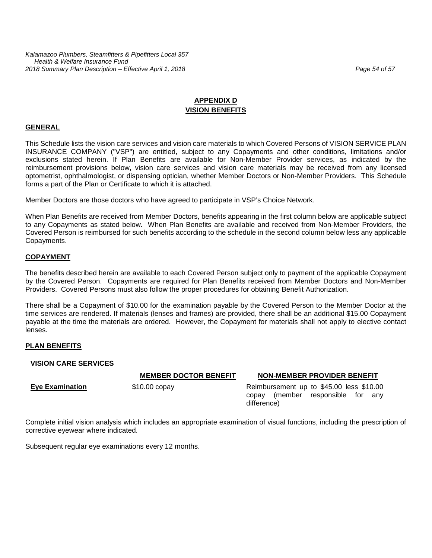# **APPENDIX D VISION BENEFITS**

#### **GENERAL**

This Schedule lists the vision care services and vision care materials to which Covered Persons of VISION SERVICE PLAN INSURANCE COMPANY ("VSP") are entitled, subject to any Copayments and other conditions, limitations and/or exclusions stated herein. If Plan Benefits are available for Non-Member Provider services, as indicated by the reimbursement provisions below, vision care services and vision care materials may be received from any licensed optometrist, ophthalmologist, or dispensing optician, whether Member Doctors or Non-Member Providers. This Schedule forms a part of the Plan or Certificate to which it is attached.

Member Doctors are those doctors who have agreed to participate in VSP's Choice Network.

When Plan Benefits are received from Member Doctors, benefits appearing in the first column below are applicable subject to any Copayments as stated below. When Plan Benefits are available and received from Non-Member Providers, the Covered Person is reimbursed for such benefits according to the schedule in the second column below less any applicable Copayments.

#### **COPAYMENT**

The benefits described herein are available to each Covered Person subject only to payment of the applicable Copayment by the Covered Person. Copayments are required for Plan Benefits received from Member Doctors and Non-Member Providers. Covered Persons must also follow the proper procedures for obtaining Benefit Authorization.

There shall be a Copayment of \$10.00 for the examination payable by the Covered Person to the Member Doctor at the time services are rendered. If materials (lenses and frames) are provided, there shall be an additional \$15.00 Copayment payable at the time the materials are ordered. However, the Copayment for materials shall not apply to elective contact lenses.

#### **PLAN BENEFITS**

#### **VISION CARE SERVICES**

#### **MEMBER DOCTOR BENEFIT NON-MEMBER PROVIDER BENEFIT**

**Eye Examination** \$10.00 copay Reimbursement up to \$45.00 less \$10.00 copay (member responsible for any difference)

Complete initial vision analysis which includes an appropriate examination of visual functions, including the prescription of corrective eyewear where indicated.

Subsequent regular eye examinations every 12 months.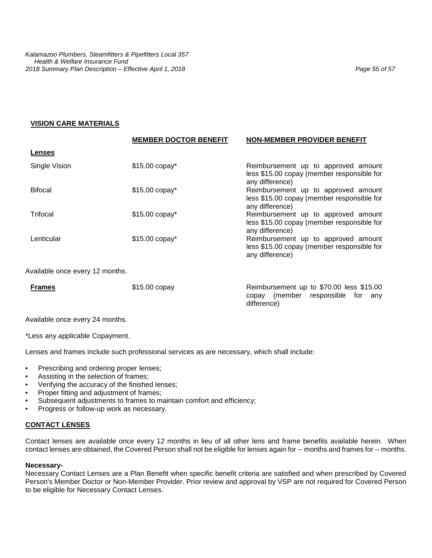#### **VISION CARE MATERIALS**

|                                 | <b>MEMBER DOCTOR BENEFIT</b> | <b>NON-MEMBER PROVIDER BENEFIT</b>                                                                    |
|---------------------------------|------------------------------|-------------------------------------------------------------------------------------------------------|
| <b>Lenses</b>                   |                              |                                                                                                       |
| Single Vision                   | $$15.00$ copay*              | Reimbursement up to approved amount<br>less \$15.00 copay (member responsible for<br>any difference)  |
| <b>Bifocal</b>                  | \$15.00 copay*               | Reimbursement up to approved amount<br>less \$15.00 copay (member responsible for<br>any difference)  |
| Trifocal                        | \$15.00 copay*               | Reimbursement up to approved amount<br>less \$15.00 copay (member responsible for<br>any difference)  |
| Lenticular                      | \$15.00 copay*               | Reimbursement up to approved amount<br>less \$15.00 copay (member responsible for<br>any difference)  |
| Available once every 12 months. |                              |                                                                                                       |
| <b>Frames</b>                   | \$15.00 copay                | Reimbursement up to \$70.00 less \$15.00<br>(member responsible<br>for<br>copay<br>any<br>difference) |

Available once every 24 months.

\*Less any applicable Copayment.

Lenses and frames include such professional services as are necessary, which shall include:

- Prescribing and ordering proper lenses;
- Assisting in the selection of frames;
- Verifying the accuracy of the finished lenses;
- Proper fitting and adjustment of frames;
- Subsequent adjustments to frames to maintain comfort and efficiency;
- Progress or follow-up work as necessary.

#### **CONTACT LENSES**

Contact lenses are available once every 12 months in lieu of all other lens and frame benefits available herein. When contact lenses are obtained, the Covered Person shall not be eligible for lenses again for -- months and frames for -- months.

#### **Necessary-**

Necessary Contact Lenses are a Plan Benefit when specific benefit criteria are satisfied and when prescribed by Covered Person's Member Doctor or Non-Member Provider. Prior review and approval by VSP are not required for Covered Person to be eligible for Necessary Contact Lenses.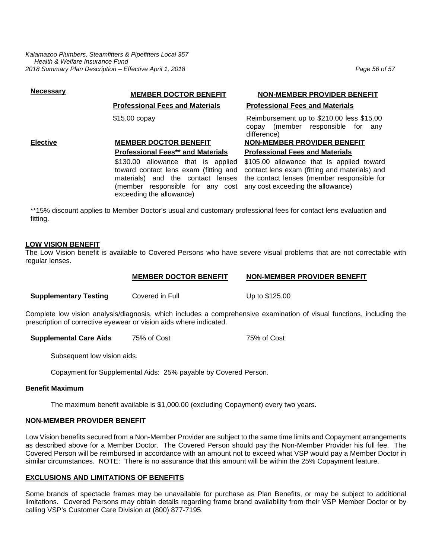*Kalamazoo Plumbers, Steamfitters & Pipefitters Local 357 Health & Welfare Insurance Fund 2018 Summary Plan Description – Effective April 1, 2018 Page 56 of 57*

# **Necessary MEMBER DOCTOR BENEFIT NON-MEMBER PROVIDER BENEFIT**

#### **Elective MEMBER DOCTOR BENEFIT NON-MEMBER PROVIDER BENEFIT Professional Fees\*\* and Materials Professional Fees and Materials**

\$130.00 allowance that is applied toward contact lens exam (fitting and materials) and the contact lenses (member responsible for any cost any cost exceeding the allowance) exceeding the allowance)

## **Professional Fees and Materials Professional Fees and Materials**

\$15.00 copay **Reimbursement up to \$210.00 less \$15.00** Reimbursement up to \$210.00 less \$15.00 copay (member responsible for any difference)

\$105.00 allowance that is applied toward contact lens exam (fitting and materials) and the contact lenses (member responsible for

\*\*15% discount applies to Member Doctor's usual and customary professional fees for contact lens evaluation and fitting.

#### **LOW VISION BENEFIT**

The Low Vision benefit is available to Covered Persons who have severe visual problems that are not correctable with regular lenses.

#### **MEMBER DOCTOR BENEFIT NON-MEMBER PROVIDER BENEFIT**

**Supplementary Testing**  Covered in Full **Covered Up to \$125.00** 

Complete low vision analysis/diagnosis, which includes a comprehensive examination of visual functions, including the prescription of corrective eyewear or vision aids where indicated.

**Supplemental Care Aids** 75% of Cost 75% of Cost

Subsequent low vision aids.

Copayment for Supplemental Aids: 25% payable by Covered Person.

#### **Benefit Maximum**

The maximum benefit available is \$1,000.00 (excluding Copayment) every two years.

# **NON-MEMBER PROVIDER BENEFIT**

Low Vision benefits secured from a Non-Member Provider are subject to the same time limits and Copayment arrangements as described above for a Member Doctor. The Covered Person should pay the Non-Member Provider his full fee. The Covered Person will be reimbursed in accordance with an amount not to exceed what VSP would pay a Member Doctor in similar circumstances. NOTE: There is no assurance that this amount will be within the 25% Copayment feature.

# **EXCLUSIONS AND LIMITATIONS OF BENEFITS**

Some brands of spectacle frames may be unavailable for purchase as Plan Benefits, or may be subject to additional limitations. Covered Persons may obtain details regarding frame brand availability from their VSP Member Doctor or by calling VSP's Customer Care Division at (800) 877-7195.